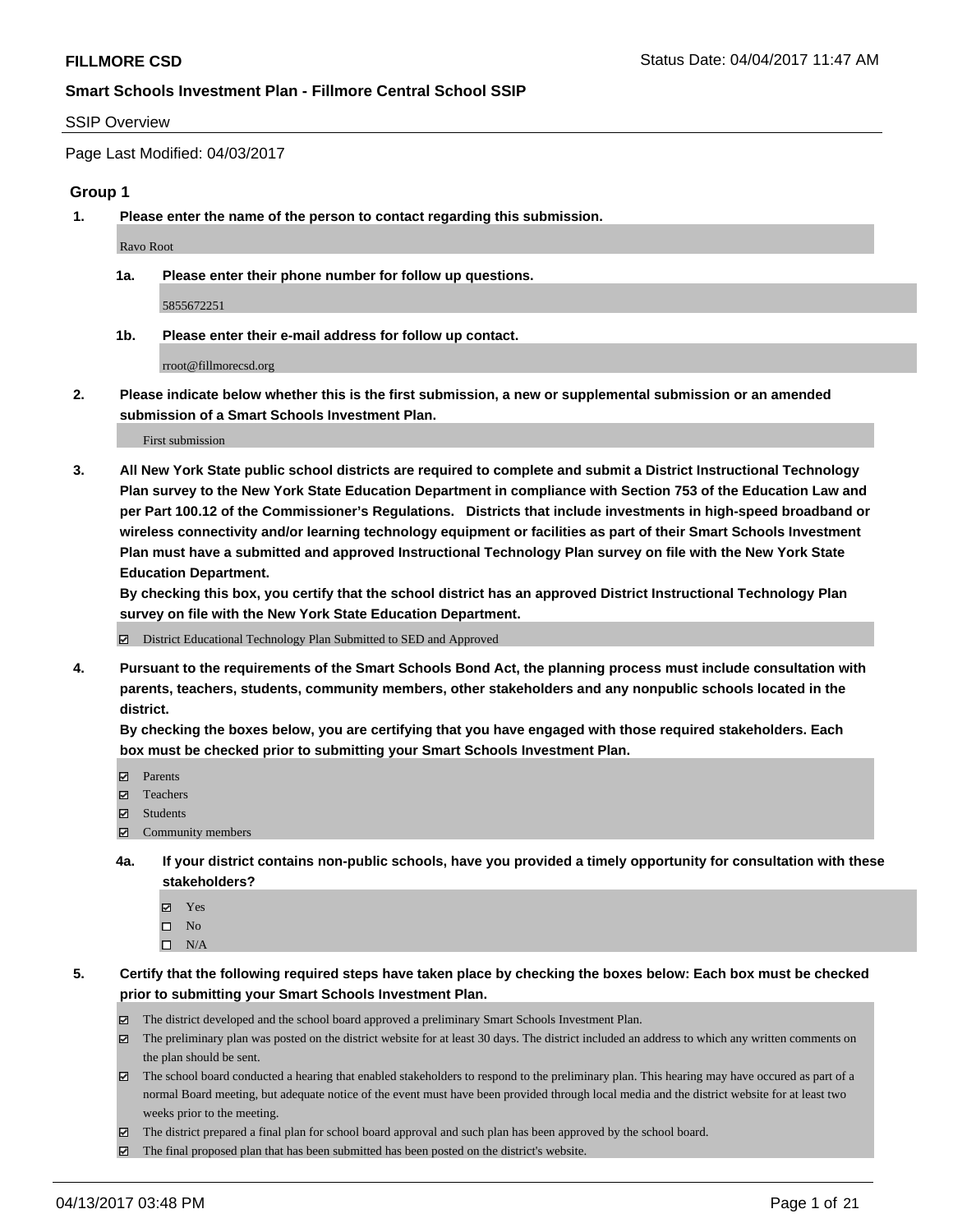#### SSIP Overview

Page Last Modified: 04/03/2017

#### **Group 1**

**1. Please enter the name of the person to contact regarding this submission.**

Ravo Root

**1a. Please enter their phone number for follow up questions.**

5855672251

**1b. Please enter their e-mail address for follow up contact.**

rroot@fillmorecsd.org

**2. Please indicate below whether this is the first submission, a new or supplemental submission or an amended submission of a Smart Schools Investment Plan.**

First submission

**3. All New York State public school districts are required to complete and submit a District Instructional Technology Plan survey to the New York State Education Department in compliance with Section 753 of the Education Law and per Part 100.12 of the Commissioner's Regulations. Districts that include investments in high-speed broadband or wireless connectivity and/or learning technology equipment or facilities as part of their Smart Schools Investment Plan must have a submitted and approved Instructional Technology Plan survey on file with the New York State Education Department.** 

**By checking this box, you certify that the school district has an approved District Instructional Technology Plan survey on file with the New York State Education Department.**

District Educational Technology Plan Submitted to SED and Approved

**4. Pursuant to the requirements of the Smart Schools Bond Act, the planning process must include consultation with parents, teachers, students, community members, other stakeholders and any nonpublic schools located in the district.** 

**By checking the boxes below, you are certifying that you have engaged with those required stakeholders. Each box must be checked prior to submitting your Smart Schools Investment Plan.**

- **マ** Parents
- □ Teachers
- Students
- $\Xi$  Community members
- **4a. If your district contains non-public schools, have you provided a timely opportunity for consultation with these stakeholders?**
	- Yes
	- $\hfill \square$  No
	- $\square$  N/A
- **5. Certify that the following required steps have taken place by checking the boxes below: Each box must be checked prior to submitting your Smart Schools Investment Plan.**
	- The district developed and the school board approved a preliminary Smart Schools Investment Plan.
	- $\boxtimes$  The preliminary plan was posted on the district website for at least 30 days. The district included an address to which any written comments on the plan should be sent.
	- $\boxtimes$  The school board conducted a hearing that enabled stakeholders to respond to the preliminary plan. This hearing may have occured as part of a normal Board meeting, but adequate notice of the event must have been provided through local media and the district website for at least two weeks prior to the meeting.
	- The district prepared a final plan for school board approval and such plan has been approved by the school board.
	- $\boxtimes$  The final proposed plan that has been submitted has been posted on the district's website.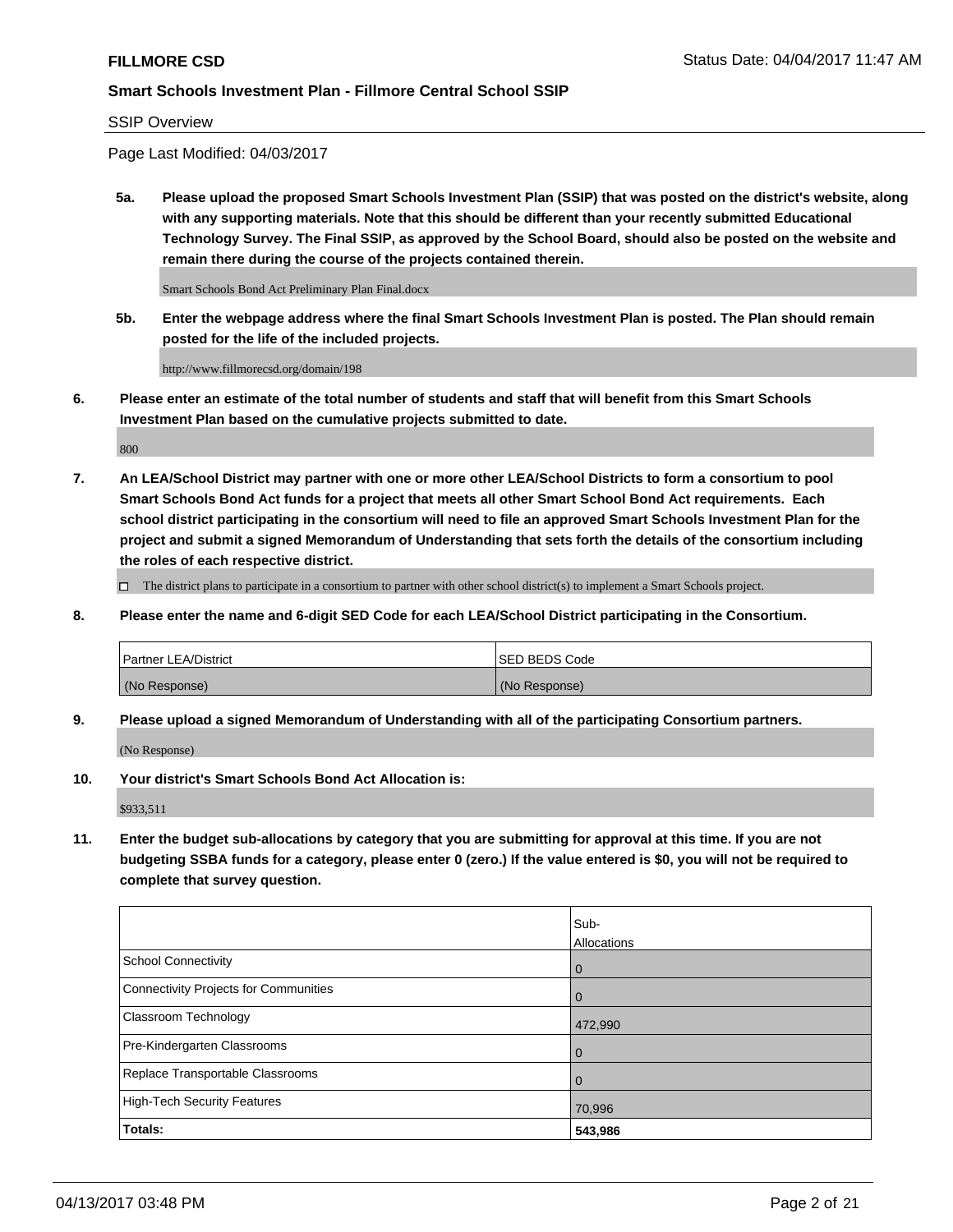SSIP Overview

Page Last Modified: 04/03/2017

**5a. Please upload the proposed Smart Schools Investment Plan (SSIP) that was posted on the district's website, along with any supporting materials. Note that this should be different than your recently submitted Educational Technology Survey. The Final SSIP, as approved by the School Board, should also be posted on the website and remain there during the course of the projects contained therein.**

Smart Schools Bond Act Preliminary Plan Final.docx

**5b. Enter the webpage address where the final Smart Schools Investment Plan is posted. The Plan should remain posted for the life of the included projects.**

http://www.fillmorecsd.org/domain/198

**6. Please enter an estimate of the total number of students and staff that will benefit from this Smart Schools Investment Plan based on the cumulative projects submitted to date.**

800

**7. An LEA/School District may partner with one or more other LEA/School Districts to form a consortium to pool Smart Schools Bond Act funds for a project that meets all other Smart School Bond Act requirements. Each school district participating in the consortium will need to file an approved Smart Schools Investment Plan for the project and submit a signed Memorandum of Understanding that sets forth the details of the consortium including the roles of each respective district.**

 $\Box$  The district plans to participate in a consortium to partner with other school district(s) to implement a Smart Schools project.

**8. Please enter the name and 6-digit SED Code for each LEA/School District participating in the Consortium.**

| <b>Partner LEA/District</b> | <b>ISED BEDS Code</b> |
|-----------------------------|-----------------------|
| (No Response)               | (No Response)         |

**9. Please upload a signed Memorandum of Understanding with all of the participating Consortium partners.**

(No Response)

**10. Your district's Smart Schools Bond Act Allocation is:**

\$933,511

**11. Enter the budget sub-allocations by category that you are submitting for approval at this time. If you are not budgeting SSBA funds for a category, please enter 0 (zero.) If the value entered is \$0, you will not be required to complete that survey question.**

|                                       | Sub-        |
|---------------------------------------|-------------|
|                                       | Allocations |
| <b>School Connectivity</b>            | 0           |
| Connectivity Projects for Communities | $\Omega$    |
| <b>Classroom Technology</b>           | 472,990     |
| Pre-Kindergarten Classrooms           | 0           |
| Replace Transportable Classrooms      | 0           |
| <b>High-Tech Security Features</b>    | 70,996      |
| Totals:                               | 543,986     |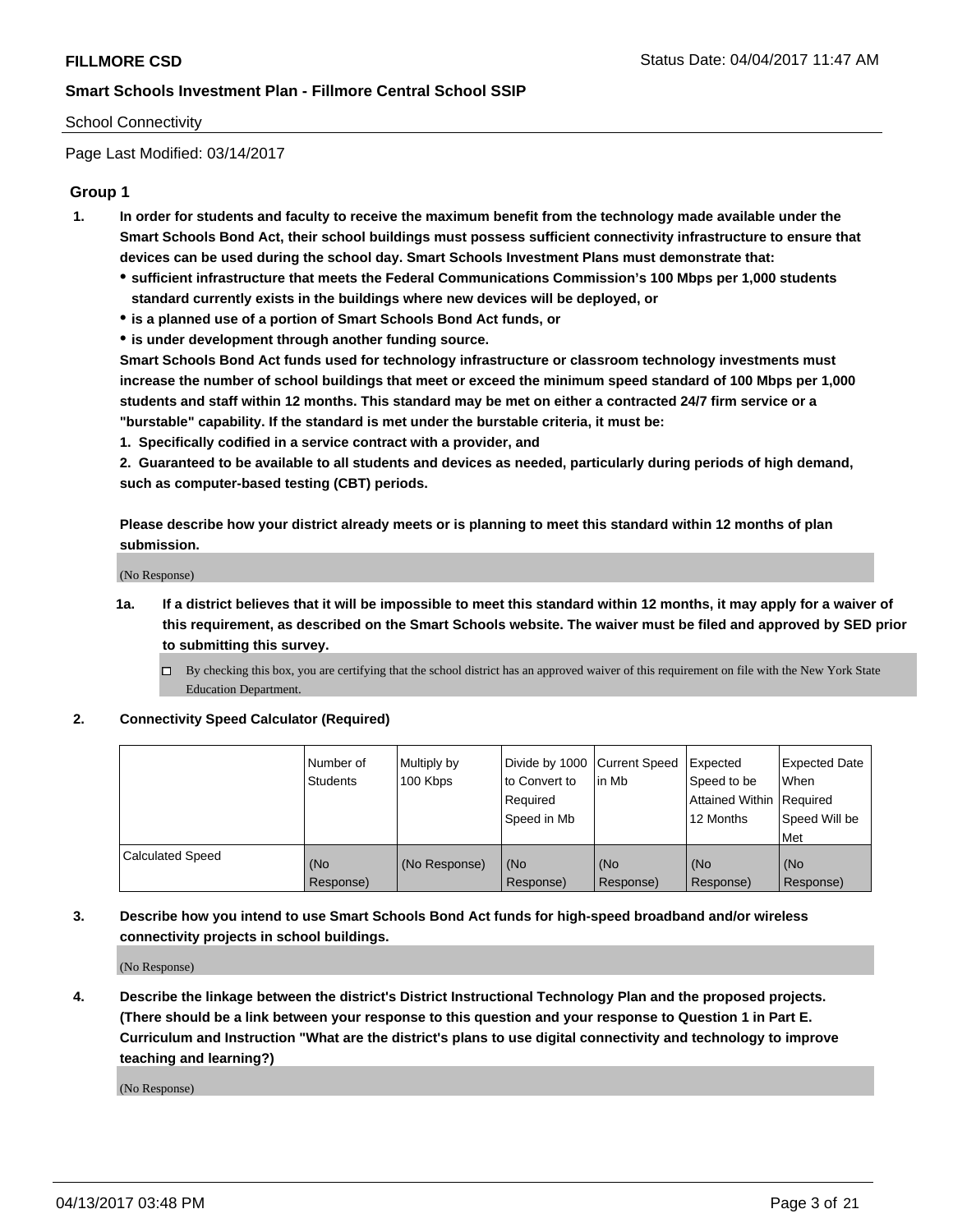## School Connectivity

Page Last Modified: 03/14/2017

## **Group 1**

- **1. In order for students and faculty to receive the maximum benefit from the technology made available under the Smart Schools Bond Act, their school buildings must possess sufficient connectivity infrastructure to ensure that devices can be used during the school day. Smart Schools Investment Plans must demonstrate that:**
	- **sufficient infrastructure that meets the Federal Communications Commission's 100 Mbps per 1,000 students standard currently exists in the buildings where new devices will be deployed, or**
	- **is a planned use of a portion of Smart Schools Bond Act funds, or**
	- **is under development through another funding source.**

**Smart Schools Bond Act funds used for technology infrastructure or classroom technology investments must increase the number of school buildings that meet or exceed the minimum speed standard of 100 Mbps per 1,000 students and staff within 12 months. This standard may be met on either a contracted 24/7 firm service or a "burstable" capability. If the standard is met under the burstable criteria, it must be:**

**1. Specifically codified in a service contract with a provider, and**

**2. Guaranteed to be available to all students and devices as needed, particularly during periods of high demand, such as computer-based testing (CBT) periods.**

**Please describe how your district already meets or is planning to meet this standard within 12 months of plan submission.**

(No Response)

- **1a. If a district believes that it will be impossible to meet this standard within 12 months, it may apply for a waiver of this requirement, as described on the Smart Schools website. The waiver must be filed and approved by SED prior to submitting this survey.**
	- By checking this box, you are certifying that the school district has an approved waiver of this requirement on file with the New York State Education Department.

#### **2. Connectivity Speed Calculator (Required)**

|                         | l Number of<br><b>Students</b> | Multiply by<br>100 Kbps | Divide by 1000   Current Speed<br>to Convert to<br>Required<br>l Speed in Mb | in Mb            | Expected<br>Speed to be<br>Attained Within Required<br>12 Months | <b>Expected Date</b><br>When<br>Speed Will be<br><b>Met</b> |
|-------------------------|--------------------------------|-------------------------|------------------------------------------------------------------------------|------------------|------------------------------------------------------------------|-------------------------------------------------------------|
| <b>Calculated Speed</b> | (No<br>Response)               | (No Response)           | (No<br>Response)                                                             | (No<br>Response) | (No<br>Response)                                                 | l (No<br>Response)                                          |

## **3. Describe how you intend to use Smart Schools Bond Act funds for high-speed broadband and/or wireless connectivity projects in school buildings.**

(No Response)

**4. Describe the linkage between the district's District Instructional Technology Plan and the proposed projects. (There should be a link between your response to this question and your response to Question 1 in Part E. Curriculum and Instruction "What are the district's plans to use digital connectivity and technology to improve teaching and learning?)**

(No Response)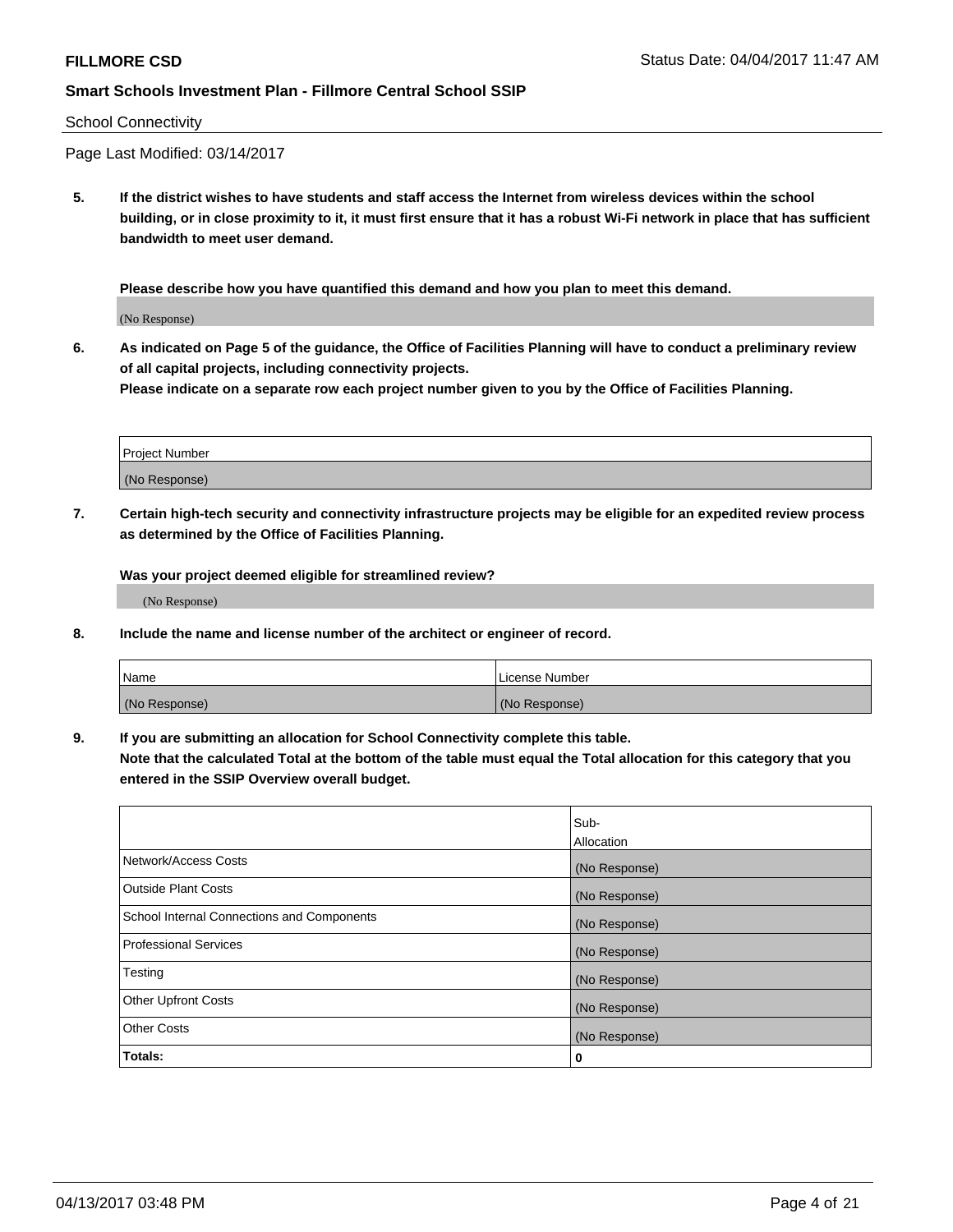#### School Connectivity

Page Last Modified: 03/14/2017

**5. If the district wishes to have students and staff access the Internet from wireless devices within the school building, or in close proximity to it, it must first ensure that it has a robust Wi-Fi network in place that has sufficient bandwidth to meet user demand.**

**Please describe how you have quantified this demand and how you plan to meet this demand.**

(No Response)

**6. As indicated on Page 5 of the guidance, the Office of Facilities Planning will have to conduct a preliminary review of all capital projects, including connectivity projects.**

**Please indicate on a separate row each project number given to you by the Office of Facilities Planning.**

| Project Number |  |
|----------------|--|
|                |  |
| (No Response)  |  |

**7. Certain high-tech security and connectivity infrastructure projects may be eligible for an expedited review process as determined by the Office of Facilities Planning.**

**Was your project deemed eligible for streamlined review?**

(No Response)

**8. Include the name and license number of the architect or engineer of record.**

| Name          | License Number |
|---------------|----------------|
| (No Response) | (No Response)  |

**9. If you are submitting an allocation for School Connectivity complete this table.**

**Note that the calculated Total at the bottom of the table must equal the Total allocation for this category that you entered in the SSIP Overview overall budget.** 

|                                            | Sub-          |
|--------------------------------------------|---------------|
|                                            | Allocation    |
| Network/Access Costs                       | (No Response) |
| Outside Plant Costs                        | (No Response) |
| School Internal Connections and Components | (No Response) |
| <b>Professional Services</b>               | (No Response) |
| Testing                                    | (No Response) |
| <b>Other Upfront Costs</b>                 | (No Response) |
| <b>Other Costs</b>                         | (No Response) |
| Totals:                                    | 0             |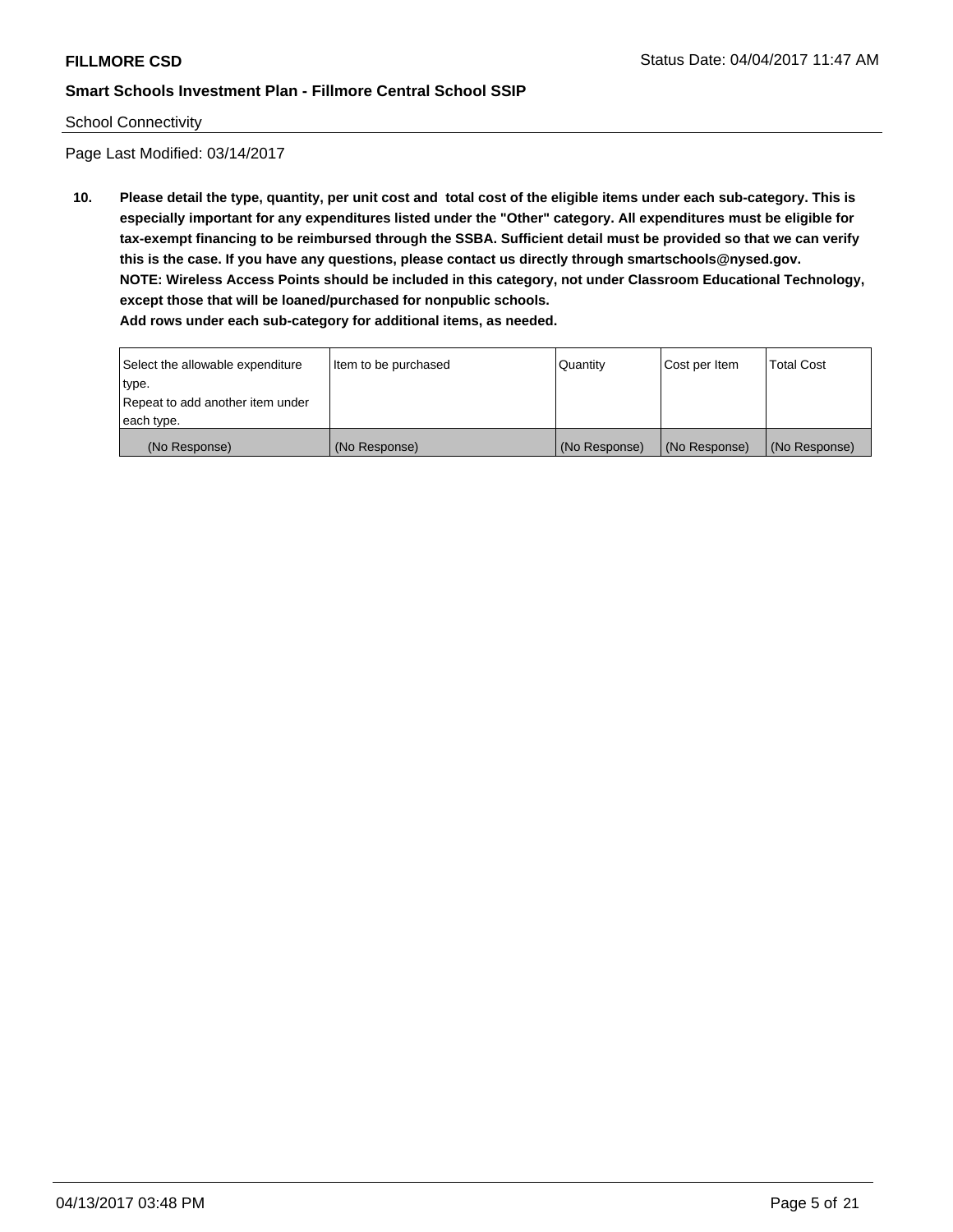#### School Connectivity

Page Last Modified: 03/14/2017

**10. Please detail the type, quantity, per unit cost and total cost of the eligible items under each sub-category. This is especially important for any expenditures listed under the "Other" category. All expenditures must be eligible for tax-exempt financing to be reimbursed through the SSBA. Sufficient detail must be provided so that we can verify this is the case. If you have any questions, please contact us directly through smartschools@nysed.gov. NOTE: Wireless Access Points should be included in this category, not under Classroom Educational Technology, except those that will be loaned/purchased for nonpublic schools.**

| Select the allowable expenditure | Item to be purchased | Quantity      | Cost per Item | <b>Total Cost</b> |
|----------------------------------|----------------------|---------------|---------------|-------------------|
| type.                            |                      |               |               |                   |
| Repeat to add another item under |                      |               |               |                   |
| each type.                       |                      |               |               |                   |
| (No Response)                    | (No Response)        | (No Response) | (No Response) | (No Response)     |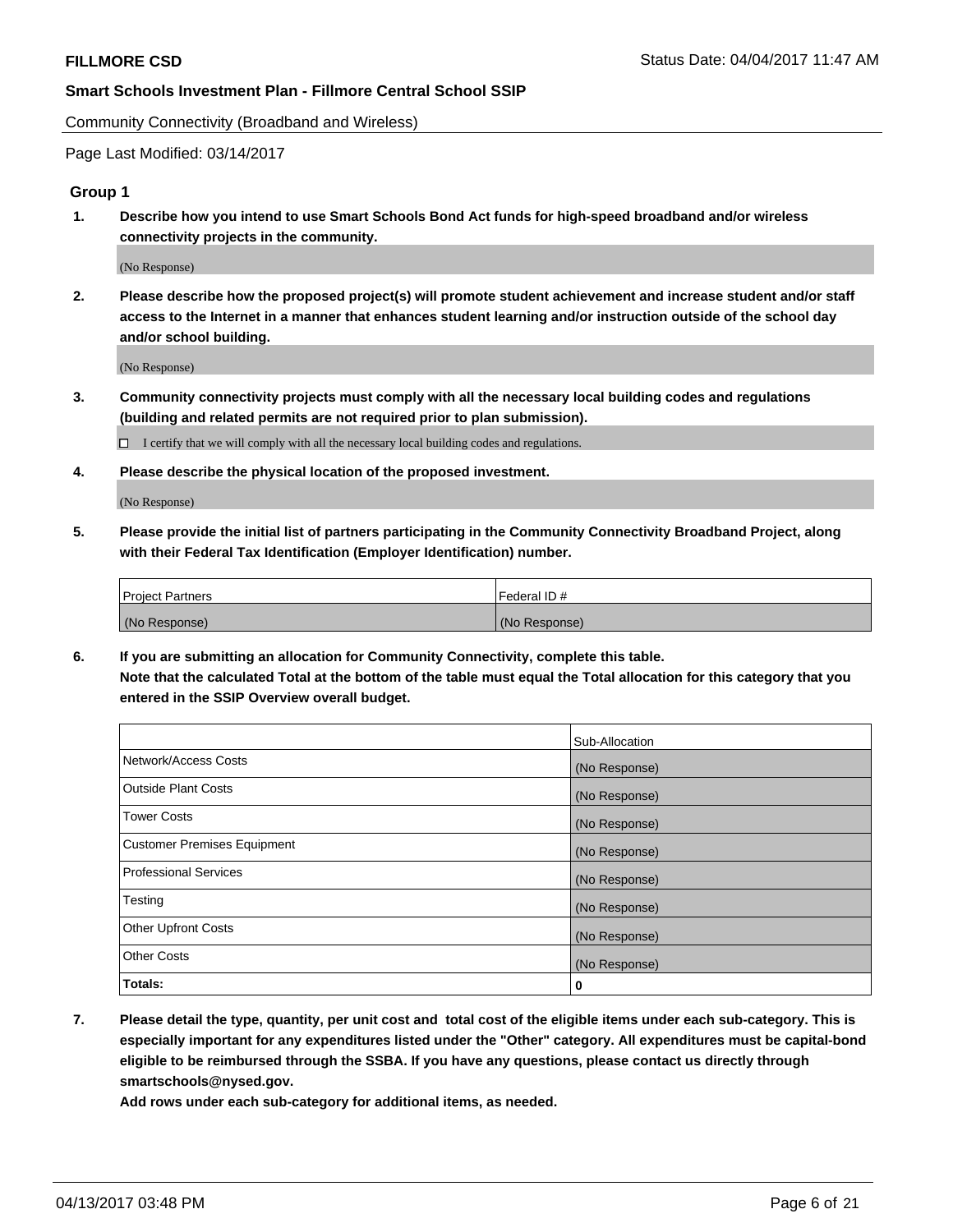Community Connectivity (Broadband and Wireless)

Page Last Modified: 03/14/2017

## **Group 1**

**1. Describe how you intend to use Smart Schools Bond Act funds for high-speed broadband and/or wireless connectivity projects in the community.**

(No Response)

**2. Please describe how the proposed project(s) will promote student achievement and increase student and/or staff access to the Internet in a manner that enhances student learning and/or instruction outside of the school day and/or school building.**

(No Response)

**3. Community connectivity projects must comply with all the necessary local building codes and regulations (building and related permits are not required prior to plan submission).**

 $\Box$  I certify that we will comply with all the necessary local building codes and regulations.

**4. Please describe the physical location of the proposed investment.**

(No Response)

**5. Please provide the initial list of partners participating in the Community Connectivity Broadband Project, along with their Federal Tax Identification (Employer Identification) number.**

| <b>Project Partners</b> | l Federal ID # |
|-------------------------|----------------|
| (No Response)           | (No Response)  |

**6. If you are submitting an allocation for Community Connectivity, complete this table. Note that the calculated Total at the bottom of the table must equal the Total allocation for this category that you entered in the SSIP Overview overall budget.**

|                                    | Sub-Allocation |
|------------------------------------|----------------|
| Network/Access Costs               | (No Response)  |
| Outside Plant Costs                | (No Response)  |
| <b>Tower Costs</b>                 | (No Response)  |
| <b>Customer Premises Equipment</b> | (No Response)  |
| <b>Professional Services</b>       | (No Response)  |
| Testing                            | (No Response)  |
| <b>Other Upfront Costs</b>         | (No Response)  |
| <b>Other Costs</b>                 | (No Response)  |
| Totals:                            | 0              |

**7. Please detail the type, quantity, per unit cost and total cost of the eligible items under each sub-category. This is especially important for any expenditures listed under the "Other" category. All expenditures must be capital-bond eligible to be reimbursed through the SSBA. If you have any questions, please contact us directly through smartschools@nysed.gov.**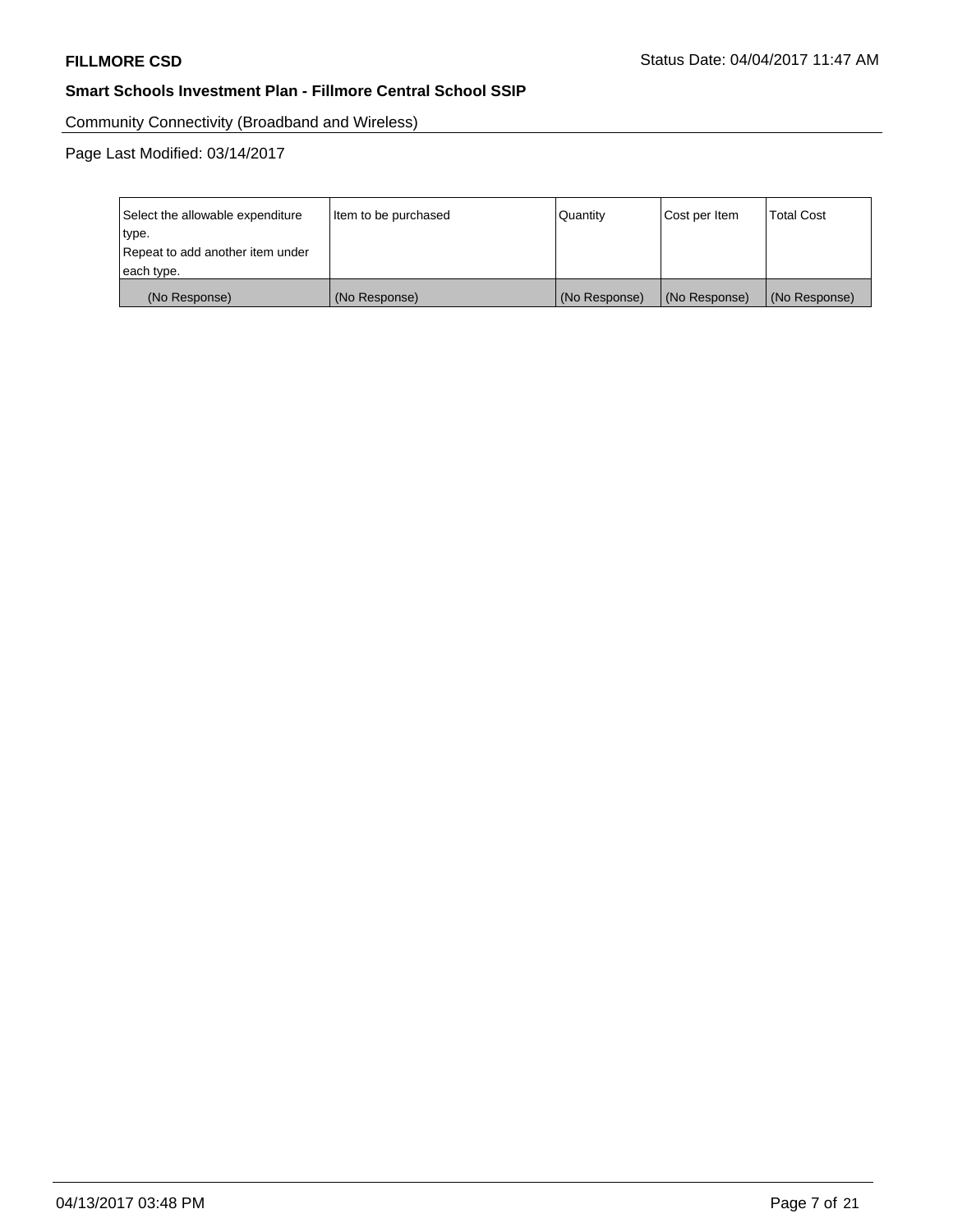Community Connectivity (Broadband and Wireless)

Page Last Modified: 03/14/2017

| Select the allowable expenditure | Item to be purchased | <b>Quantity</b> | Cost per Item | <b>Total Cost</b> |
|----------------------------------|----------------------|-----------------|---------------|-------------------|
| type.                            |                      |                 |               |                   |
| Repeat to add another item under |                      |                 |               |                   |
| each type.                       |                      |                 |               |                   |
| (No Response)                    | (No Response)        | (No Response)   | (No Response) | (No Response)     |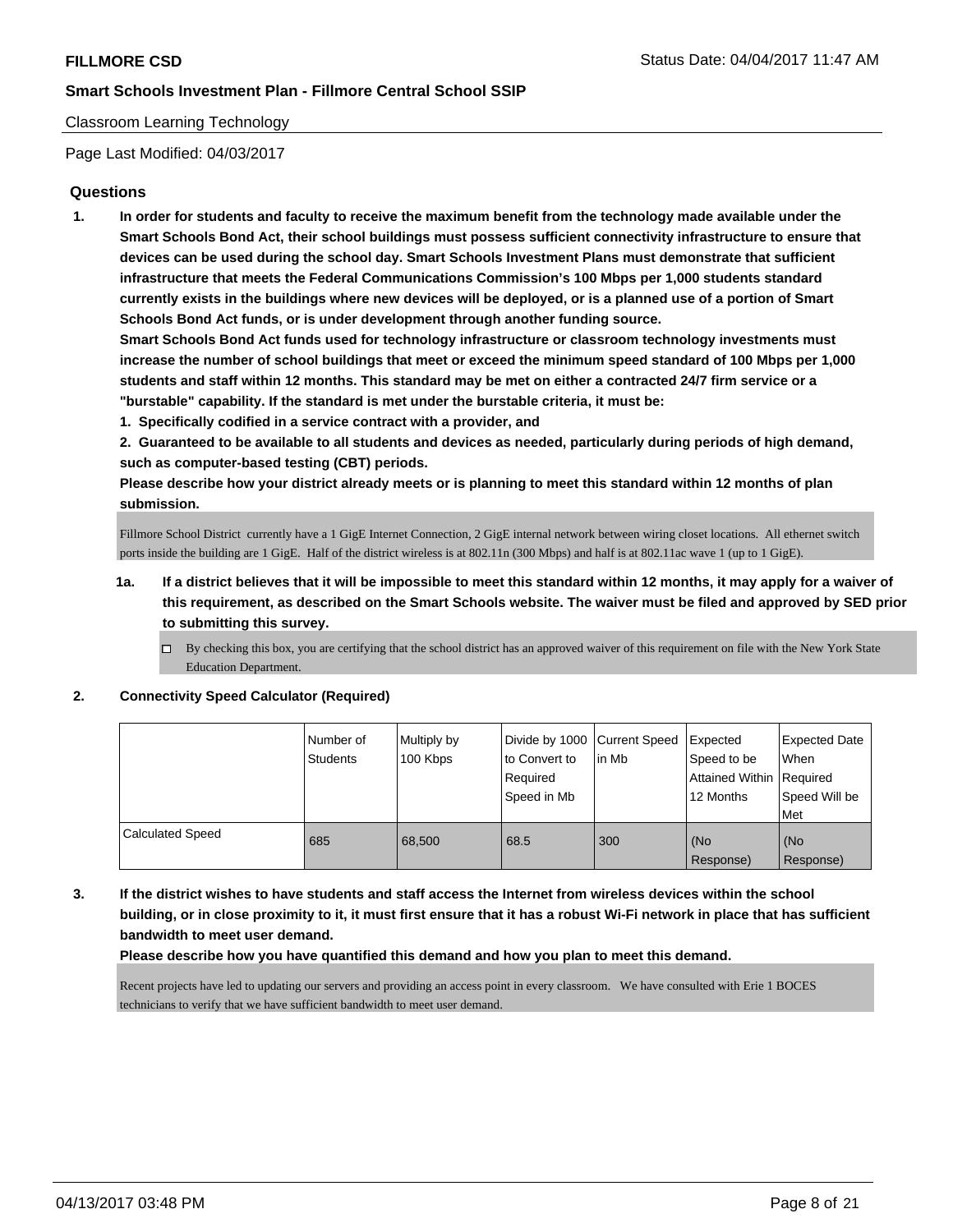## Classroom Learning Technology

Page Last Modified: 04/03/2017

## **Questions**

**1. In order for students and faculty to receive the maximum benefit from the technology made available under the Smart Schools Bond Act, their school buildings must possess sufficient connectivity infrastructure to ensure that devices can be used during the school day. Smart Schools Investment Plans must demonstrate that sufficient infrastructure that meets the Federal Communications Commission's 100 Mbps per 1,000 students standard currently exists in the buildings where new devices will be deployed, or is a planned use of a portion of Smart Schools Bond Act funds, or is under development through another funding source.**

**Smart Schools Bond Act funds used for technology infrastructure or classroom technology investments must increase the number of school buildings that meet or exceed the minimum speed standard of 100 Mbps per 1,000 students and staff within 12 months. This standard may be met on either a contracted 24/7 firm service or a "burstable" capability. If the standard is met under the burstable criteria, it must be:**

**1. Specifically codified in a service contract with a provider, and**

**2. Guaranteed to be available to all students and devices as needed, particularly during periods of high demand, such as computer-based testing (CBT) periods.**

**Please describe how your district already meets or is planning to meet this standard within 12 months of plan submission.**

Fillmore School District currently have a 1 GigE Internet Connection, 2 GigE internal network between wiring closet locations. All ethernet switch ports inside the building are 1 GigE. Half of the district wireless is at 802.11n (300 Mbps) and half is at 802.11ac wave 1 (up to 1 GigE).

- **1a. If a district believes that it will be impossible to meet this standard within 12 months, it may apply for a waiver of this requirement, as described on the Smart Schools website. The waiver must be filed and approved by SED prior to submitting this survey.**
	- $\Box$  By checking this box, you are certifying that the school district has an approved waiver of this requirement on file with the New York State Education Department.

#### **2. Connectivity Speed Calculator (Required)**

|                         | Number of<br><b>Students</b> | Multiply by<br>100 Kbps | Divide by 1000 Current Speed<br>to Convert to<br>Required<br>Speed in Mb | l in Mb | Expected<br>Speed to be<br>Attained Within Required<br>12 Months | <b>Expected Date</b><br>When<br>Speed Will be<br><b>Met</b> |
|-------------------------|------------------------------|-------------------------|--------------------------------------------------------------------------|---------|------------------------------------------------------------------|-------------------------------------------------------------|
| <b>Calculated Speed</b> | 685                          | 68,500                  | 68.5                                                                     | 300     | (No<br>Response)                                                 | (No<br>Response)                                            |

**3. If the district wishes to have students and staff access the Internet from wireless devices within the school building, or in close proximity to it, it must first ensure that it has a robust Wi-Fi network in place that has sufficient bandwidth to meet user demand.**

**Please describe how you have quantified this demand and how you plan to meet this demand.**

Recent projects have led to updating our servers and providing an access point in every classroom. We have consulted with Erie 1 BOCES technicians to verify that we have sufficient bandwidth to meet user demand.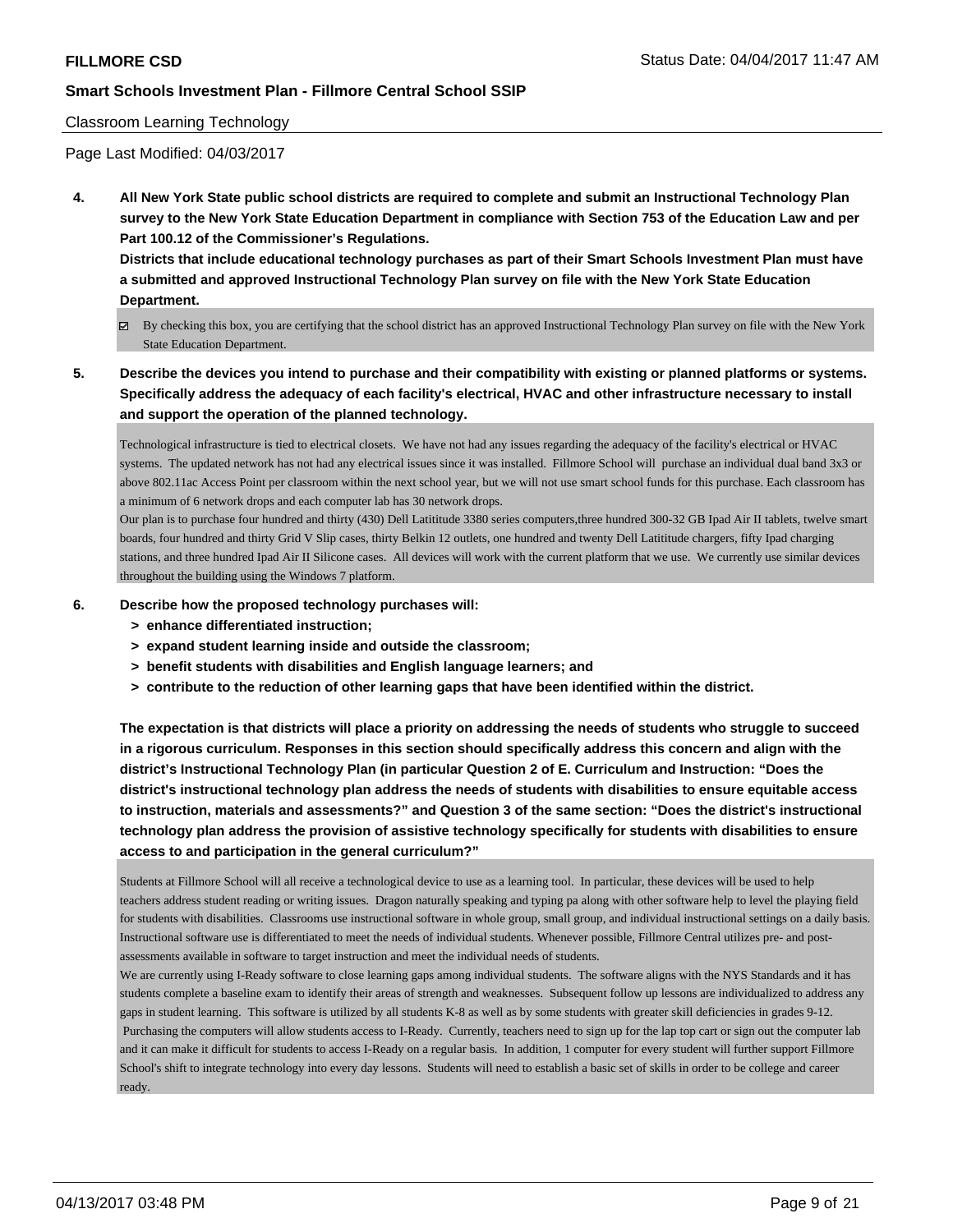## Classroom Learning Technology

Page Last Modified: 04/03/2017

**4. All New York State public school districts are required to complete and submit an Instructional Technology Plan survey to the New York State Education Department in compliance with Section 753 of the Education Law and per Part 100.12 of the Commissioner's Regulations.**

**Districts that include educational technology purchases as part of their Smart Schools Investment Plan must have a submitted and approved Instructional Technology Plan survey on file with the New York State Education Department.**

- By checking this box, you are certifying that the school district has an approved Instructional Technology Plan survey on file with the New York State Education Department.
- **5. Describe the devices you intend to purchase and their compatibility with existing or planned platforms or systems. Specifically address the adequacy of each facility's electrical, HVAC and other infrastructure necessary to install and support the operation of the planned technology.**

Technological infrastructure is tied to electrical closets. We have not had any issues regarding the adequacy of the facility's electrical or HVAC systems. The updated network has not had any electrical issues since it was installed. Fillmore School will purchase an individual dual band 3x3 or above 802.11ac Access Point per classroom within the next school year, but we will not use smart school funds for this purchase. Each classroom has a minimum of 6 network drops and each computer lab has 30 network drops.

Our plan is to purchase four hundred and thirty (430) Dell Latititude 3380 series computers,three hundred 300-32 GB Ipad Air II tablets, twelve smart boards, four hundred and thirty Grid V Slip cases, thirty Belkin 12 outlets, one hundred and twenty Dell Latititude chargers, fifty Ipad charging stations, and three hundred Ipad Air II Silicone cases. All devices will work with the current platform that we use. We currently use similar devices throughout the building using the Windows 7 platform.

#### **6. Describe how the proposed technology purchases will:**

- **> enhance differentiated instruction;**
- **> expand student learning inside and outside the classroom;**
- **> benefit students with disabilities and English language learners; and**
- **> contribute to the reduction of other learning gaps that have been identified within the district.**

**The expectation is that districts will place a priority on addressing the needs of students who struggle to succeed in a rigorous curriculum. Responses in this section should specifically address this concern and align with the district's Instructional Technology Plan (in particular Question 2 of E. Curriculum and Instruction: "Does the district's instructional technology plan address the needs of students with disabilities to ensure equitable access to instruction, materials and assessments?" and Question 3 of the same section: "Does the district's instructional technology plan address the provision of assistive technology specifically for students with disabilities to ensure access to and participation in the general curriculum?"**

Students at Fillmore School will all receive a technological device to use as a learning tool. In particular, these devices will be used to help teachers address student reading or writing issues. Dragon naturally speaking and typing pa along with other software help to level the playing field for students with disabilities. Classrooms use instructional software in whole group, small group, and individual instructional settings on a daily basis. Instructional software use is differentiated to meet the needs of individual students. Whenever possible, Fillmore Central utilizes pre- and postassessments available in software to target instruction and meet the individual needs of students.

We are currently using I-Ready software to close learning gaps among individual students. The software aligns with the NYS Standards and it has students complete a baseline exam to identify their areas of strength and weaknesses. Subsequent follow up lessons are individualized to address any gaps in student learning. This software is utilized by all students K-8 as well as by some students with greater skill deficiencies in grades 9-12. Purchasing the computers will allow students access to I-Ready. Currently, teachers need to sign up for the lap top cart or sign out the computer lab and it can make it difficult for students to access I-Ready on a regular basis. In addition, 1 computer for every student will further support Fillmore School's shift to integrate technology into every day lessons. Students will need to establish a basic set of skills in order to be college and career ready.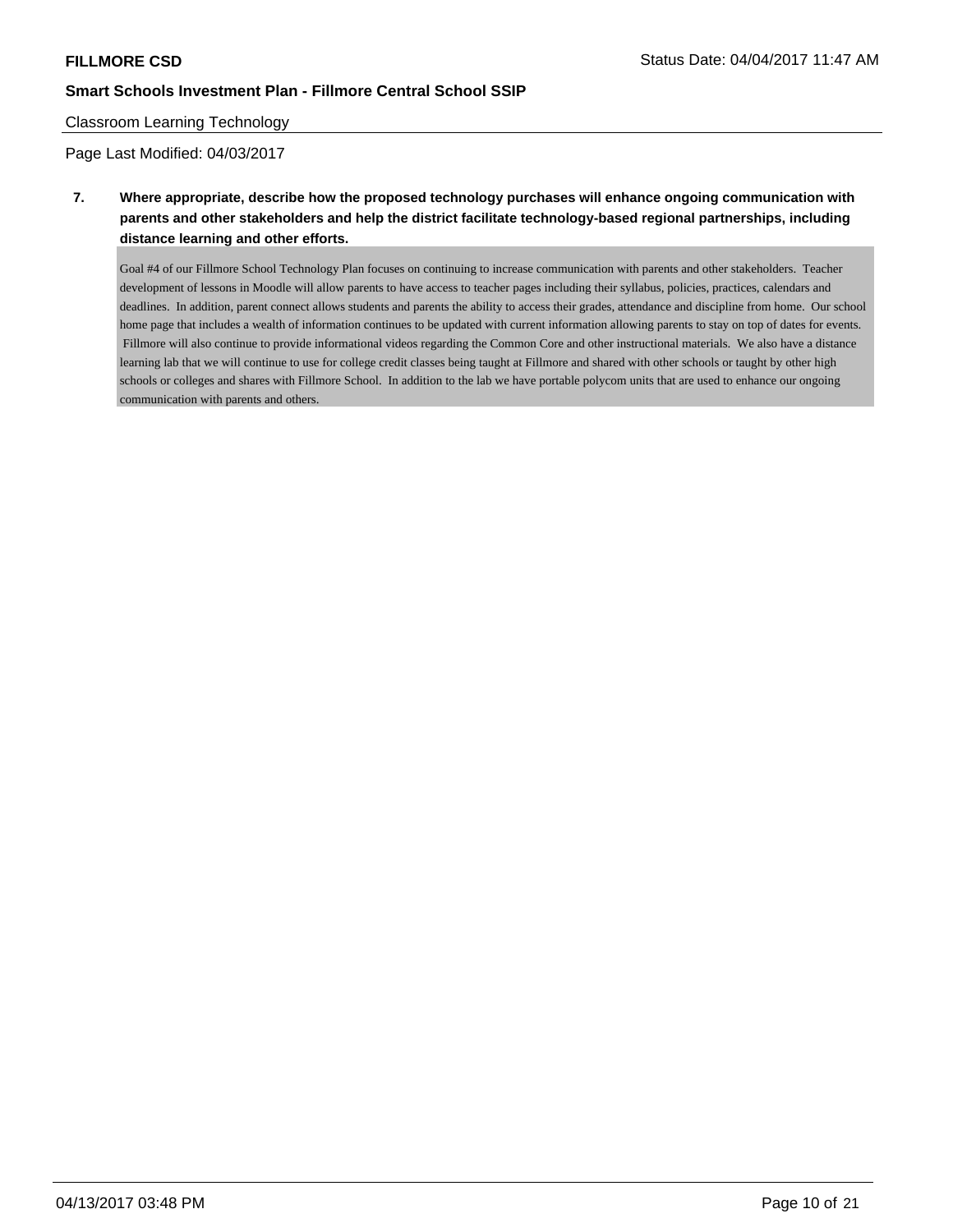## Classroom Learning Technology

Page Last Modified: 04/03/2017

**7. Where appropriate, describe how the proposed technology purchases will enhance ongoing communication with parents and other stakeholders and help the district facilitate technology-based regional partnerships, including distance learning and other efforts.**

Goal #4 of our Fillmore School Technology Plan focuses on continuing to increase communication with parents and other stakeholders. Teacher development of lessons in Moodle will allow parents to have access to teacher pages including their syllabus, policies, practices, calendars and deadlines. In addition, parent connect allows students and parents the ability to access their grades, attendance and discipline from home. Our school home page that includes a wealth of information continues to be updated with current information allowing parents to stay on top of dates for events. Fillmore will also continue to provide informational videos regarding the Common Core and other instructional materials. We also have a distance learning lab that we will continue to use for college credit classes being taught at Fillmore and shared with other schools or taught by other high schools or colleges and shares with Fillmore School. In addition to the lab we have portable polycom units that are used to enhance our ongoing communication with parents and others.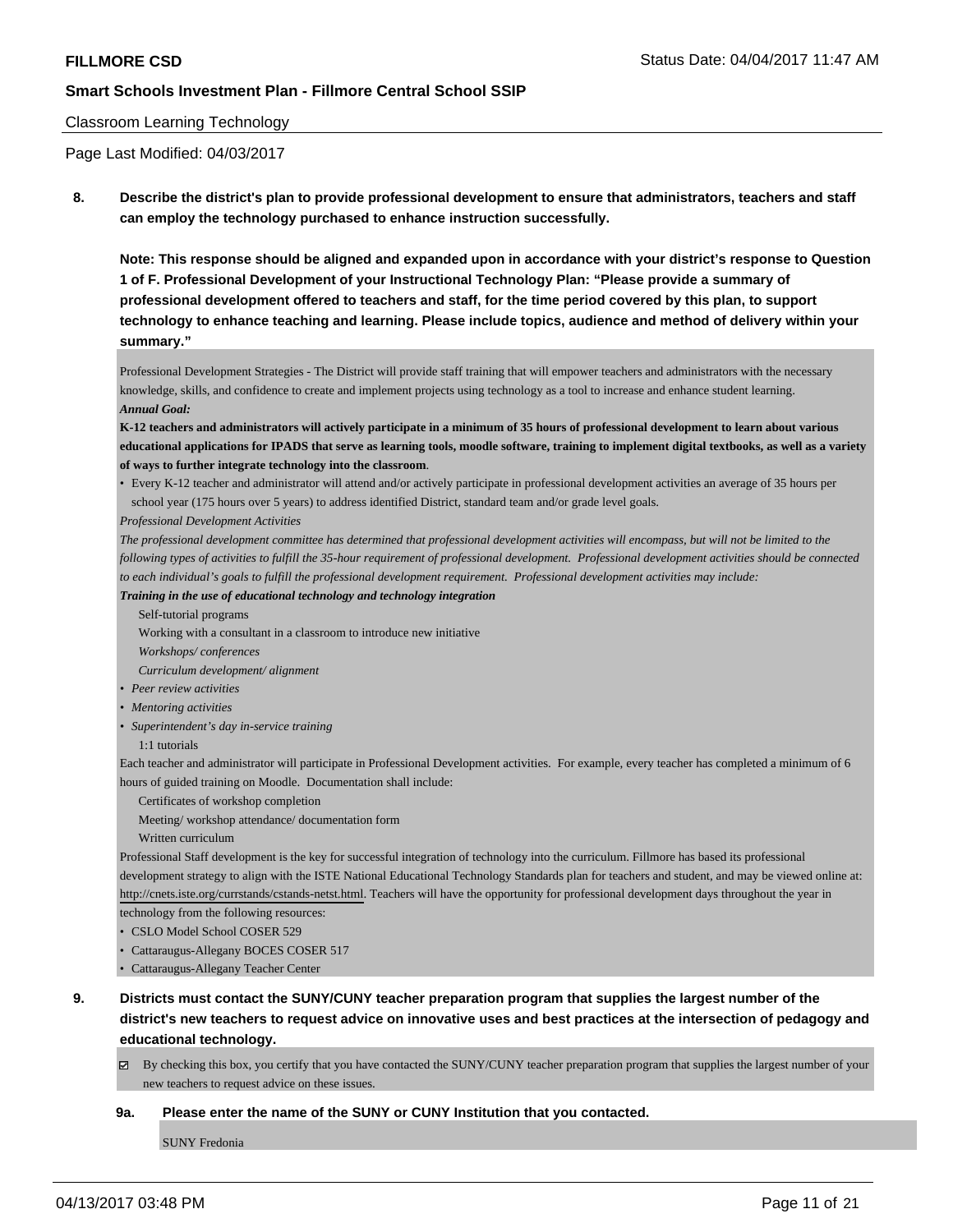#### Classroom Learning Technology

Page Last Modified: 04/03/2017

**8. Describe the district's plan to provide professional development to ensure that administrators, teachers and staff can employ the technology purchased to enhance instruction successfully.**

**Note: This response should be aligned and expanded upon in accordance with your district's response to Question 1 of F. Professional Development of your Instructional Technology Plan: "Please provide a summary of professional development offered to teachers and staff, for the time period covered by this plan, to support technology to enhance teaching and learning. Please include topics, audience and method of delivery within your summary."**

Professional Development Strategies - The District will provide staff training that will empower teachers and administrators with the necessary knowledge, skills, and confidence to create and implement projects using technology as a tool to increase and enhance student learning. *Annual Goal:*

**K-12 teachers and administrators will actively participate in a minimum of 35 hours of professional development to learn about various educational applications for IPADS that serve as learning tools, moodle software, training to implement digital textbooks, as well as a variety of ways to further integrate technology into the classroom**.

• Every K-12 teacher and administrator will attend and/or actively participate in professional development activities an average of 35 hours per school year (175 hours over 5 years) to address identified District, standard team and/or grade level goals.

*Professional Development Activities*

*The professional development committee has determined that professional development activities will encompass, but will not be limited to the following types of activities to fulfill the 35-hour requirement of professional development. Professional development activities should be connected to each individual's goals to fulfill the professional development requirement. Professional development activities may include:*

*Training in the use of educational technology and technology integration*

Self-tutorial programs

Working with a consultant in a classroom to introduce new initiative

*Workshops/ conferences*

*Curriculum development/ alignment*

- *• Peer review activities*
- *• Mentoring activities*
- *• Superintendent's day in-service training*

1:1 tutorials

Each teacher and administrator will participate in Professional Development activities. For example, every teacher has completed a minimum of 6 hours of guided training on Moodle. Documentation shall include:

Certificates of workshop completion

Meeting/ workshop attendance/ documentation form

Written curriculum

Professional Staff development is the key for successful integration of technology into the curriculum. Fillmore has based its professional development strategy to align with the ISTE National Educational Technology Standards plan for teachers and student, and may be viewed online at: http://cnets.iste.org/currstands/cstands-netst.html. Teachers will have the opportunity for professional development days throughout the year in technology from the following resources:

• CSLO Model School COSER 529

- Cattaraugus-Allegany BOCES COSER 517
- Cattaraugus-Allegany Teacher Center

**9. Districts must contact the SUNY/CUNY teacher preparation program that supplies the largest number of the district's new teachers to request advice on innovative uses and best practices at the intersection of pedagogy and educational technology.**

 $\boxtimes$  By checking this box, you certify that you have contacted the SUNY/CUNY teacher preparation program that supplies the largest number of your new teachers to request advice on these issues.

**9a. Please enter the name of the SUNY or CUNY Institution that you contacted.**

SUNY Fredonia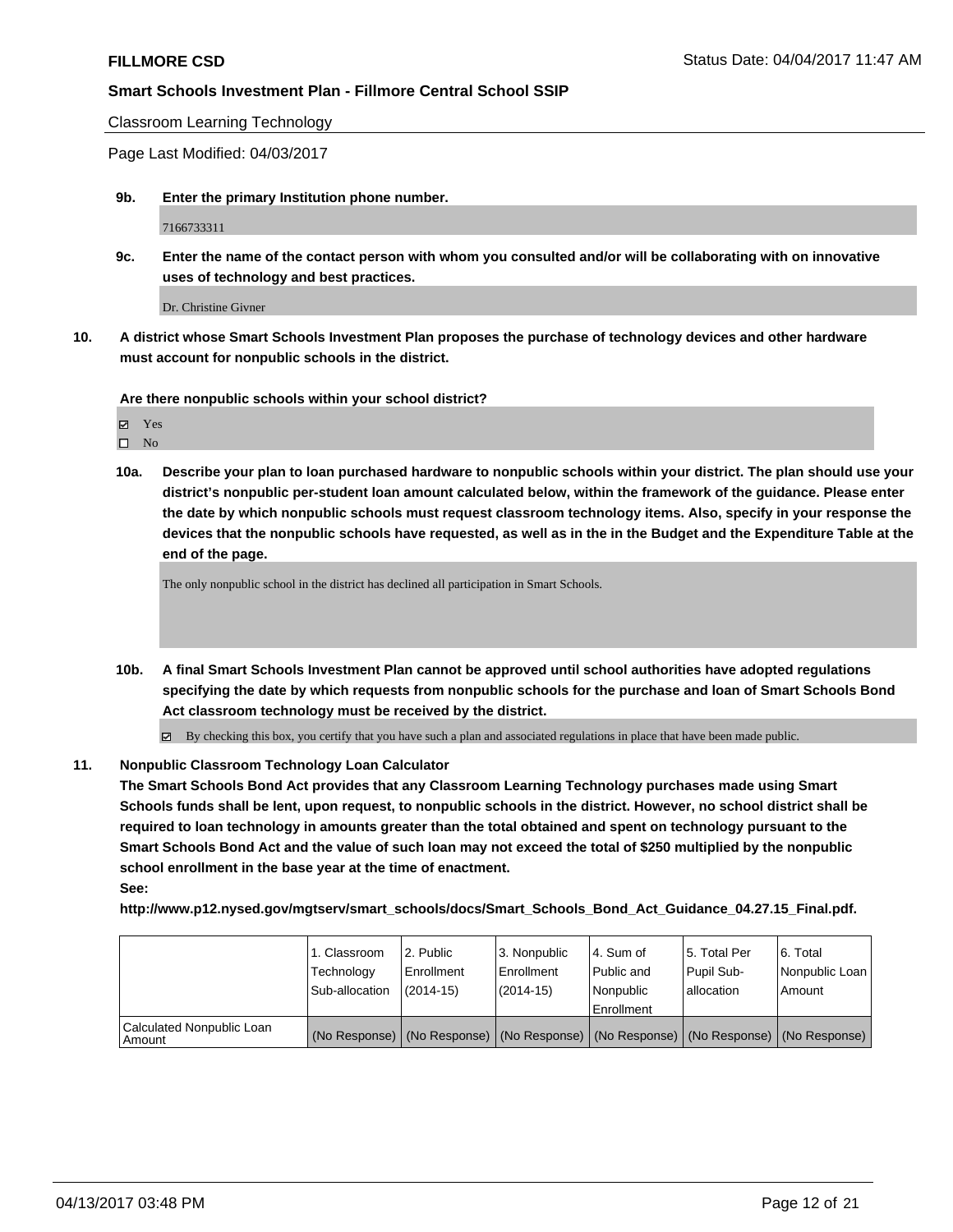Classroom Learning Technology

Page Last Modified: 04/03/2017

**9b. Enter the primary Institution phone number.**

7166733311

**9c. Enter the name of the contact person with whom you consulted and/or will be collaborating with on innovative uses of technology and best practices.**

Dr. Christine Givner

**10. A district whose Smart Schools Investment Plan proposes the purchase of technology devices and other hardware must account for nonpublic schools in the district.**

**Are there nonpublic schools within your school district?**

 $\square$  No

**10a. Describe your plan to loan purchased hardware to nonpublic schools within your district. The plan should use your district's nonpublic per-student loan amount calculated below, within the framework of the guidance. Please enter the date by which nonpublic schools must request classroom technology items. Also, specify in your response the devices that the nonpublic schools have requested, as well as in the in the Budget and the Expenditure Table at the end of the page.**

The only nonpublic school in the district has declined all participation in Smart Schools.

- **10b. A final Smart Schools Investment Plan cannot be approved until school authorities have adopted regulations specifying the date by which requests from nonpublic schools for the purchase and loan of Smart Schools Bond Act classroom technology must be received by the district.**
	- By checking this box, you certify that you have such a plan and associated regulations in place that have been made public.

#### **11. Nonpublic Classroom Technology Loan Calculator**

**The Smart Schools Bond Act provides that any Classroom Learning Technology purchases made using Smart Schools funds shall be lent, upon request, to nonpublic schools in the district. However, no school district shall be required to loan technology in amounts greater than the total obtained and spent on technology pursuant to the Smart Schools Bond Act and the value of such loan may not exceed the total of \$250 multiplied by the nonpublic school enrollment in the base year at the time of enactment. See:**

**http://www.p12.nysed.gov/mgtserv/smart\_schools/docs/Smart\_Schools\_Bond\_Act\_Guidance\_04.27.15\_Final.pdf.**

|                                       | 1. Classroom<br>Technology<br>Sub-allocation | 12. Public<br>l Enrollment<br>$(2014 - 15)$ | 3. Nonpublic<br>Enrollment<br>(2014-15) | l 4. Sum of<br>Public and<br>l Nonpublic<br>Enrollment | 15. Total Per<br>Pupil Sub-<br>lallocation | 6. Total<br>Nonpublic Loan<br>Amount                                                          |
|---------------------------------------|----------------------------------------------|---------------------------------------------|-----------------------------------------|--------------------------------------------------------|--------------------------------------------|-----------------------------------------------------------------------------------------------|
| Calculated Nonpublic Loan<br>l Amount |                                              |                                             |                                         |                                                        |                                            | (No Response)   (No Response)   (No Response)   (No Response)   (No Response)   (No Response) |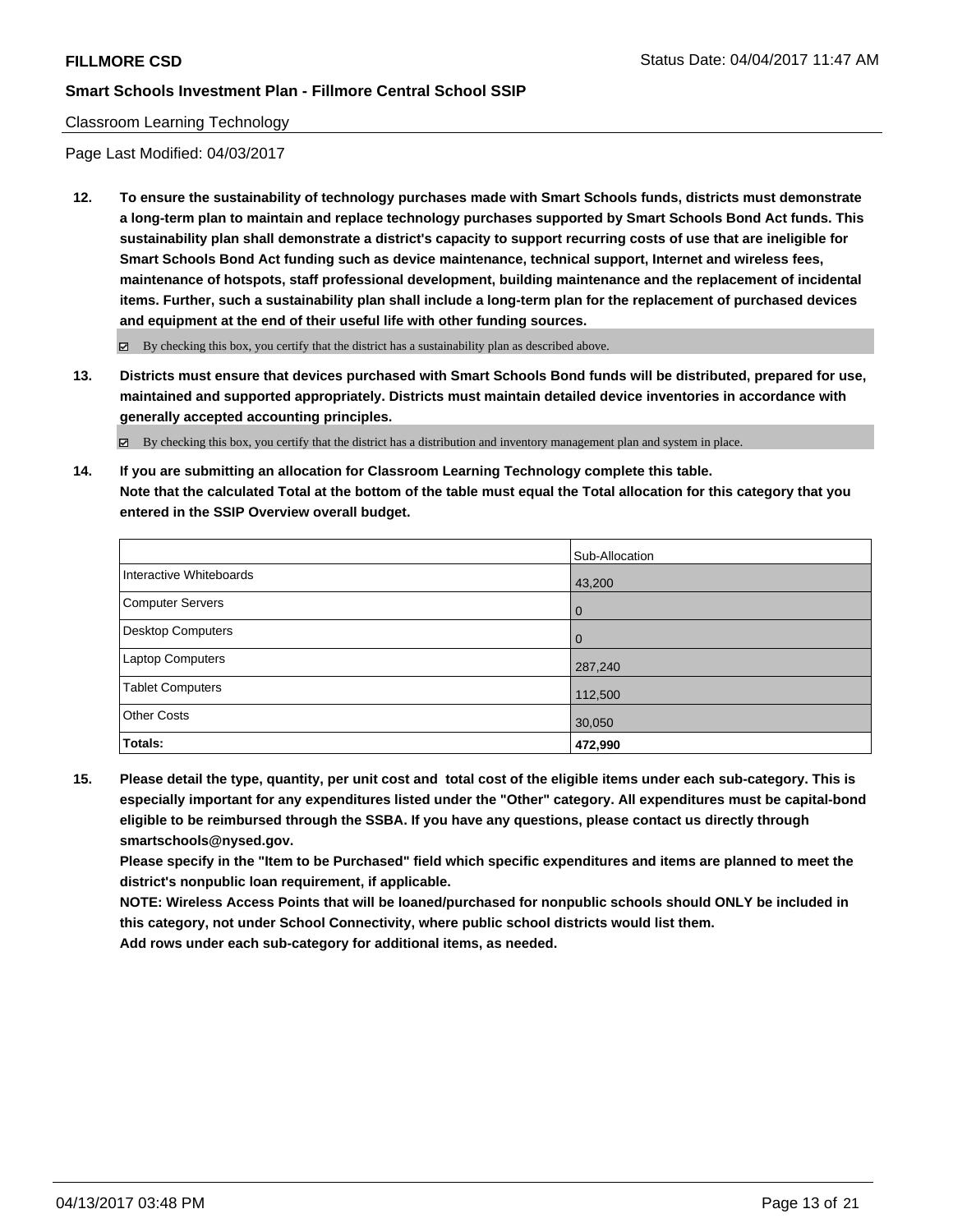## Classroom Learning Technology

Page Last Modified: 04/03/2017

**12. To ensure the sustainability of technology purchases made with Smart Schools funds, districts must demonstrate a long-term plan to maintain and replace technology purchases supported by Smart Schools Bond Act funds. This sustainability plan shall demonstrate a district's capacity to support recurring costs of use that are ineligible for Smart Schools Bond Act funding such as device maintenance, technical support, Internet and wireless fees, maintenance of hotspots, staff professional development, building maintenance and the replacement of incidental items. Further, such a sustainability plan shall include a long-term plan for the replacement of purchased devices and equipment at the end of their useful life with other funding sources.**

 $\boxtimes$  By checking this box, you certify that the district has a sustainability plan as described above.

**13. Districts must ensure that devices purchased with Smart Schools Bond funds will be distributed, prepared for use, maintained and supported appropriately. Districts must maintain detailed device inventories in accordance with generally accepted accounting principles.**

By checking this box, you certify that the district has a distribution and inventory management plan and system in place.

**14. If you are submitting an allocation for Classroom Learning Technology complete this table. Note that the calculated Total at the bottom of the table must equal the Total allocation for this category that you entered in the SSIP Overview overall budget.**

|                         | Sub-Allocation |
|-------------------------|----------------|
| Interactive Whiteboards | 43,200         |
| Computer Servers        | l 0            |
| Desktop Computers       | l 0            |
| <b>Laptop Computers</b> | 287,240        |
| <b>Tablet Computers</b> | 112,500        |
| <b>Other Costs</b>      | 30,050         |
| Totals:                 | 472,990        |

**15. Please detail the type, quantity, per unit cost and total cost of the eligible items under each sub-category. This is especially important for any expenditures listed under the "Other" category. All expenditures must be capital-bond eligible to be reimbursed through the SSBA. If you have any questions, please contact us directly through smartschools@nysed.gov.**

**Please specify in the "Item to be Purchased" field which specific expenditures and items are planned to meet the district's nonpublic loan requirement, if applicable.**

**NOTE: Wireless Access Points that will be loaned/purchased for nonpublic schools should ONLY be included in this category, not under School Connectivity, where public school districts would list them.**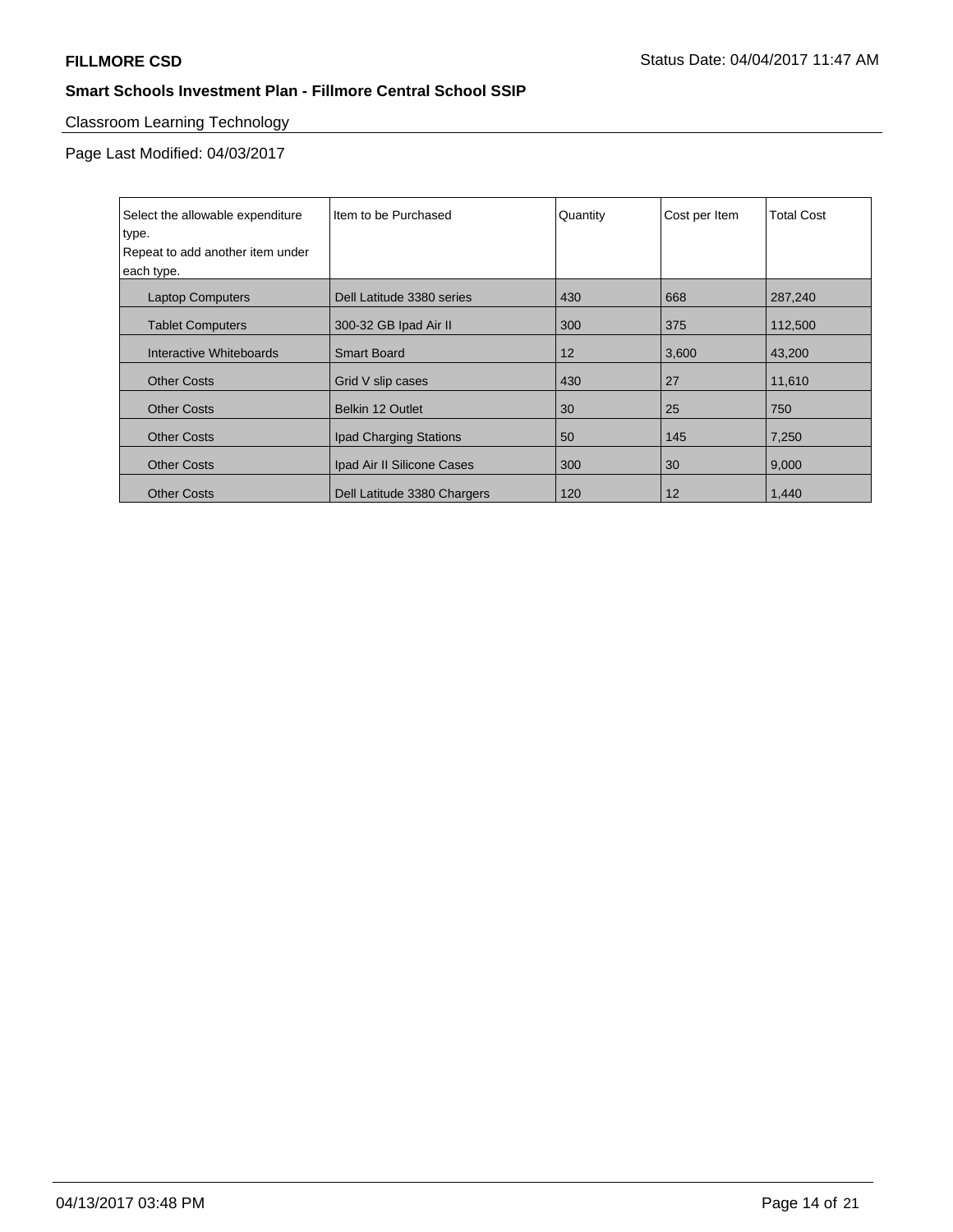# Classroom Learning Technology

Page Last Modified: 04/03/2017

| Select the allowable expenditure<br>type.<br>Repeat to add another item under<br>each type. | Item to be Purchased        | Quantity | Cost per Item | <b>Total Cost</b> |
|---------------------------------------------------------------------------------------------|-----------------------------|----------|---------------|-------------------|
| <b>Laptop Computers</b>                                                                     | Dell Latitude 3380 series   | 430      | 668           | 287,240           |
| <b>Tablet Computers</b>                                                                     | 300-32 GB Ipad Air II       | 300      | 375           | 112,500           |
| Interactive Whiteboards                                                                     | <b>Smart Board</b>          | 12       | 3,600         | 43,200            |
| <b>Other Costs</b>                                                                          | Grid V slip cases           | 430      | 27            | 11,610            |
| <b>Other Costs</b>                                                                          | Belkin 12 Outlet            | 30       | 25            | 750               |
| <b>Other Costs</b>                                                                          | Ipad Charging Stations      | 50       | 145           | 7,250             |
| <b>Other Costs</b>                                                                          | Ipad Air II Silicone Cases  | 300      | 30            | 9,000             |
| <b>Other Costs</b>                                                                          | Dell Latitude 3380 Chargers | 120      | 12            | 1,440             |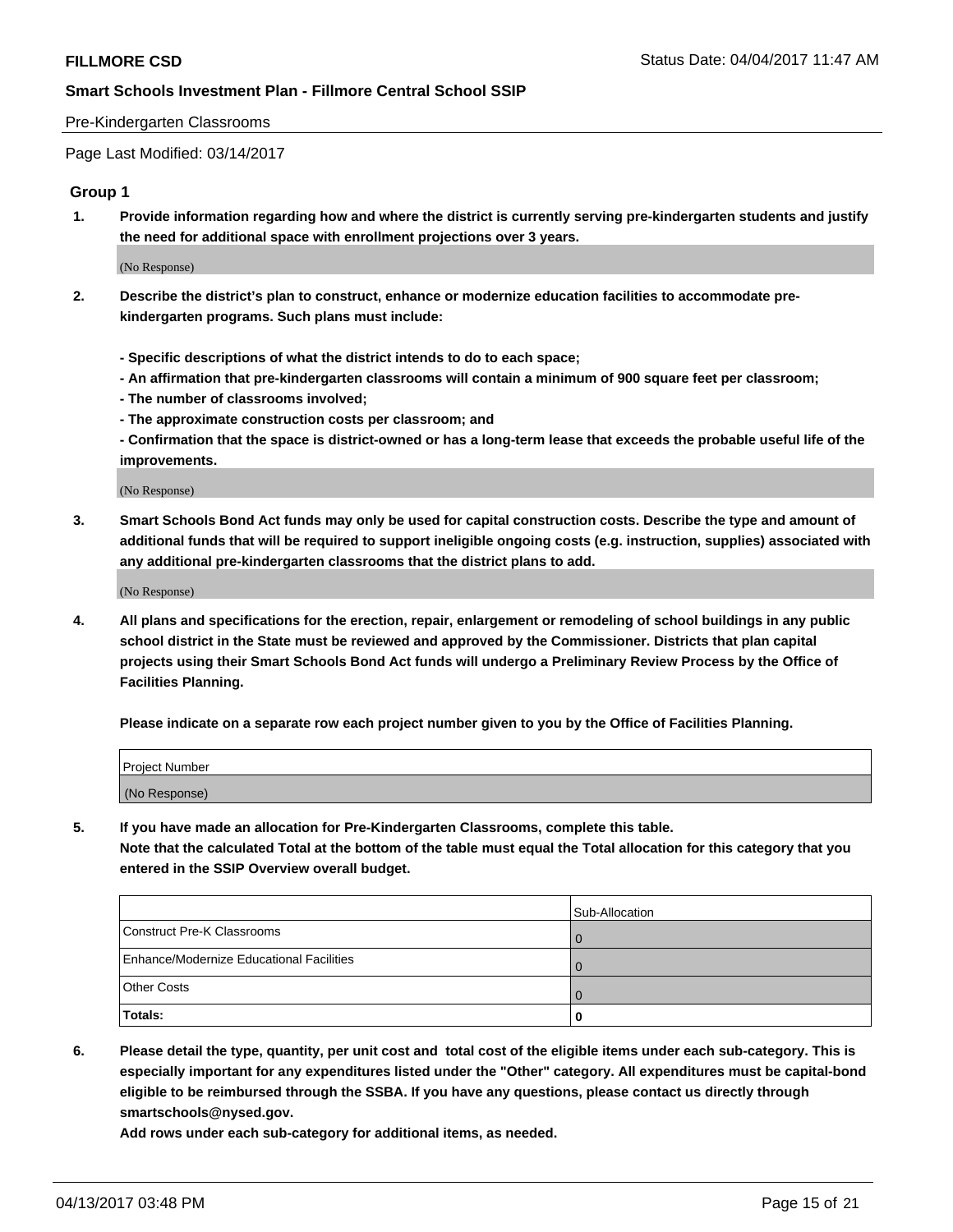#### Pre-Kindergarten Classrooms

Page Last Modified: 03/14/2017

#### **Group 1**

**1. Provide information regarding how and where the district is currently serving pre-kindergarten students and justify the need for additional space with enrollment projections over 3 years.**

(No Response)

- **2. Describe the district's plan to construct, enhance or modernize education facilities to accommodate prekindergarten programs. Such plans must include:**
	- **Specific descriptions of what the district intends to do to each space;**
	- **An affirmation that pre-kindergarten classrooms will contain a minimum of 900 square feet per classroom;**
	- **The number of classrooms involved;**
	- **The approximate construction costs per classroom; and**
	- **Confirmation that the space is district-owned or has a long-term lease that exceeds the probable useful life of the improvements.**

(No Response)

**3. Smart Schools Bond Act funds may only be used for capital construction costs. Describe the type and amount of additional funds that will be required to support ineligible ongoing costs (e.g. instruction, supplies) associated with any additional pre-kindergarten classrooms that the district plans to add.**

(No Response)

**4. All plans and specifications for the erection, repair, enlargement or remodeling of school buildings in any public school district in the State must be reviewed and approved by the Commissioner. Districts that plan capital projects using their Smart Schools Bond Act funds will undergo a Preliminary Review Process by the Office of Facilities Planning.**

**Please indicate on a separate row each project number given to you by the Office of Facilities Planning.**

| Project Number |  |
|----------------|--|
| (No Response)  |  |

**5. If you have made an allocation for Pre-Kindergarten Classrooms, complete this table. Note that the calculated Total at the bottom of the table must equal the Total allocation for this category that you entered in the SSIP Overview overall budget.**

|                                          | Sub-Allocation |
|------------------------------------------|----------------|
| Construct Pre-K Classrooms               |                |
| Enhance/Modernize Educational Facilities |                |
| <b>Other Costs</b>                       |                |
| Totals:                                  |                |

**6. Please detail the type, quantity, per unit cost and total cost of the eligible items under each sub-category. This is especially important for any expenditures listed under the "Other" category. All expenditures must be capital-bond eligible to be reimbursed through the SSBA. If you have any questions, please contact us directly through smartschools@nysed.gov.**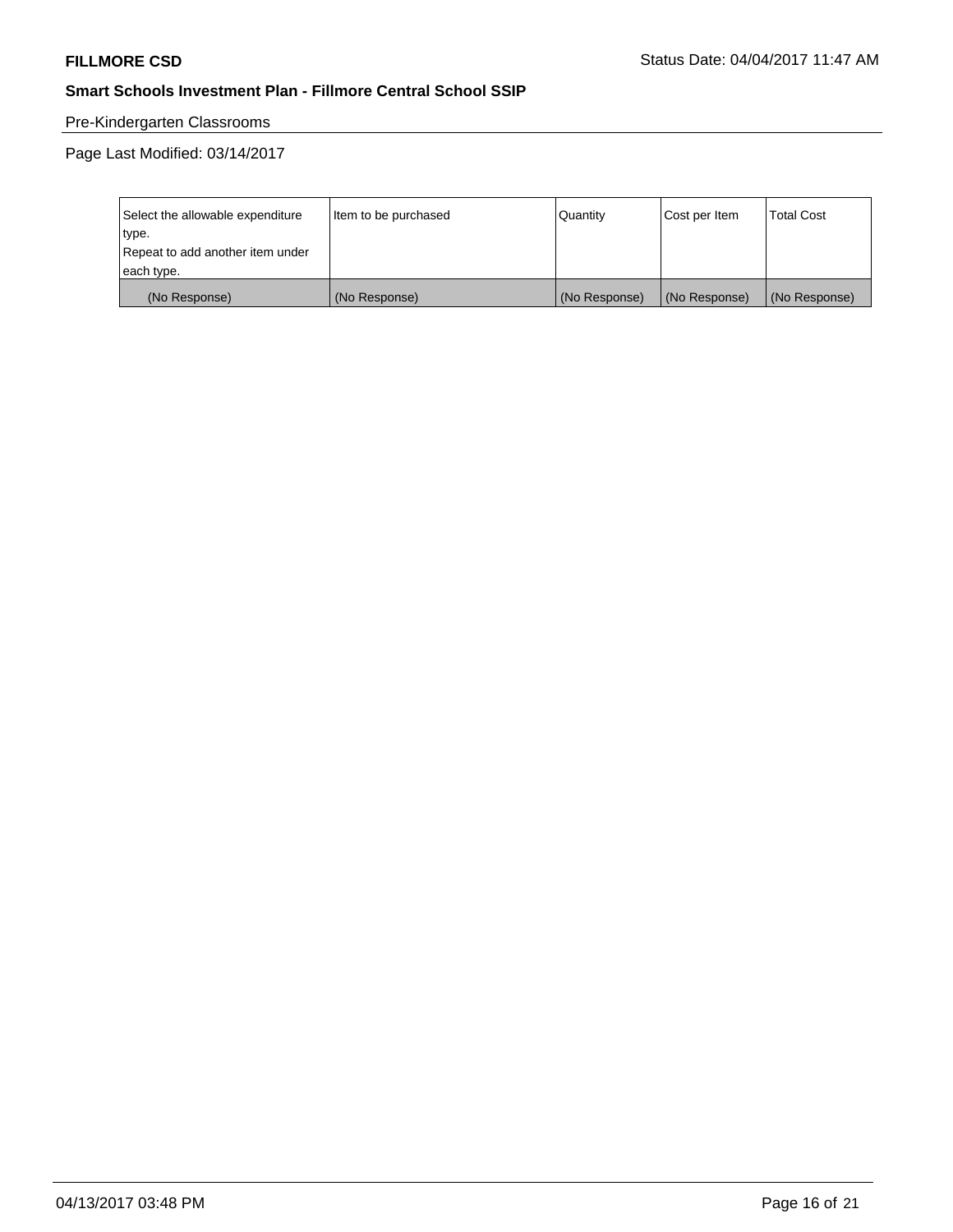## Pre-Kindergarten Classrooms

Page Last Modified: 03/14/2017

| Select the allowable expenditure | Item to be purchased | Quantity      | Cost per Item | <b>Total Cost</b> |
|----------------------------------|----------------------|---------------|---------------|-------------------|
| type.                            |                      |               |               |                   |
| Repeat to add another item under |                      |               |               |                   |
| each type.                       |                      |               |               |                   |
| (No Response)                    | (No Response)        | (No Response) | (No Response) | (No Response)     |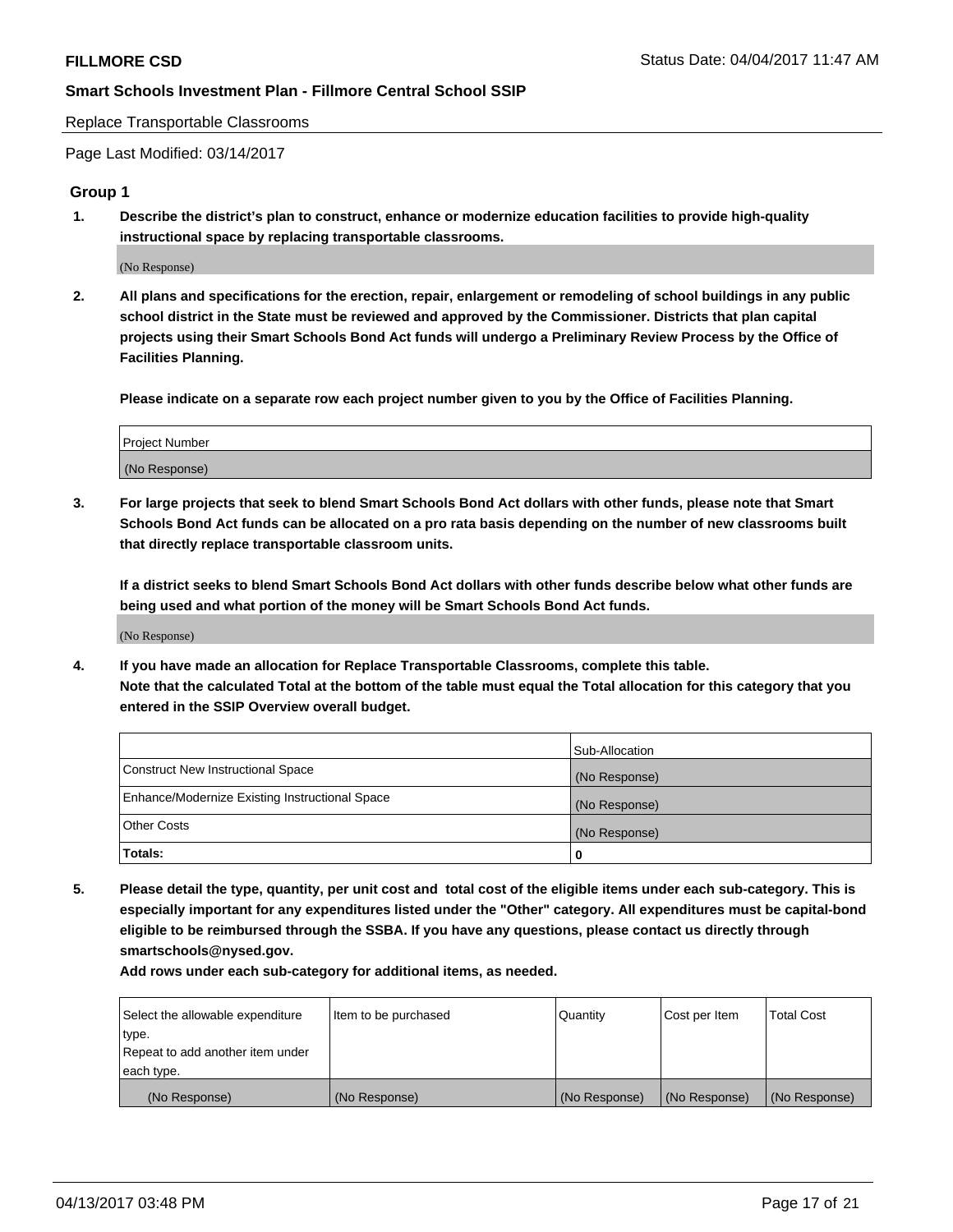Replace Transportable Classrooms

Page Last Modified: 03/14/2017

#### **Group 1**

**1. Describe the district's plan to construct, enhance or modernize education facilities to provide high-quality instructional space by replacing transportable classrooms.**

(No Response)

**2. All plans and specifications for the erection, repair, enlargement or remodeling of school buildings in any public school district in the State must be reviewed and approved by the Commissioner. Districts that plan capital projects using their Smart Schools Bond Act funds will undergo a Preliminary Review Process by the Office of Facilities Planning.**

**Please indicate on a separate row each project number given to you by the Office of Facilities Planning.**

| Project Number |  |
|----------------|--|
| (No Response)  |  |

**3. For large projects that seek to blend Smart Schools Bond Act dollars with other funds, please note that Smart Schools Bond Act funds can be allocated on a pro rata basis depending on the number of new classrooms built that directly replace transportable classroom units.**

**If a district seeks to blend Smart Schools Bond Act dollars with other funds describe below what other funds are being used and what portion of the money will be Smart Schools Bond Act funds.**

(No Response)

**4. If you have made an allocation for Replace Transportable Classrooms, complete this table. Note that the calculated Total at the bottom of the table must equal the Total allocation for this category that you entered in the SSIP Overview overall budget.**

|                                                | Sub-Allocation |
|------------------------------------------------|----------------|
| Construct New Instructional Space              | (No Response)  |
| Enhance/Modernize Existing Instructional Space | (No Response)  |
| Other Costs                                    | (No Response)  |
| Totals:                                        | $\Omega$       |

**5. Please detail the type, quantity, per unit cost and total cost of the eligible items under each sub-category. This is especially important for any expenditures listed under the "Other" category. All expenditures must be capital-bond eligible to be reimbursed through the SSBA. If you have any questions, please contact us directly through smartschools@nysed.gov.**

| Select the allowable expenditure | Item to be purchased | Quantity      | Cost per Item | <b>Total Cost</b> |
|----------------------------------|----------------------|---------------|---------------|-------------------|
| type.                            |                      |               |               |                   |
| Repeat to add another item under |                      |               |               |                   |
| each type.                       |                      |               |               |                   |
| (No Response)                    | (No Response)        | (No Response) | (No Response) | (No Response)     |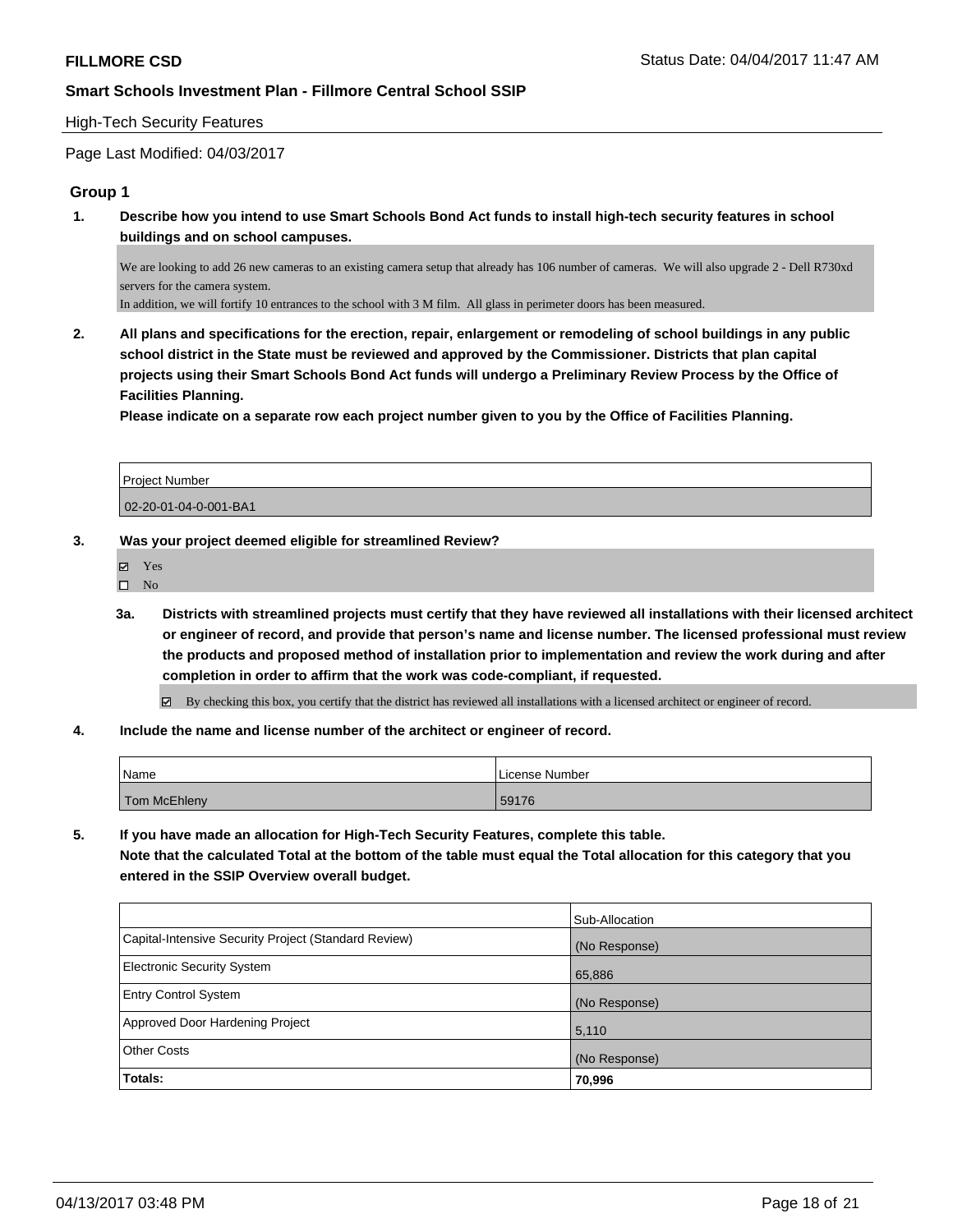### High-Tech Security Features

## Page Last Modified: 04/03/2017

## **Group 1**

**1. Describe how you intend to use Smart Schools Bond Act funds to install high-tech security features in school buildings and on school campuses.**

We are looking to add 26 new cameras to an existing camera setup that already has 106 number of cameras. We will also upgrade 2 - Dell R730xd servers for the camera system.

In addition, we will fortify 10 entrances to the school with 3 M film. All glass in perimeter doors has been measured.

**2. All plans and specifications for the erection, repair, enlargement or remodeling of school buildings in any public school district in the State must be reviewed and approved by the Commissioner. Districts that plan capital projects using their Smart Schools Bond Act funds will undergo a Preliminary Review Process by the Office of Facilities Planning.** 

**Please indicate on a separate row each project number given to you by the Office of Facilities Planning.**

| <b>Project Number</b> |  |
|-----------------------|--|
| 02-20-01-04-0-001-BA1 |  |

- **3. Was your project deemed eligible for streamlined Review?**
	- Yes
	- $\square$  No
	- **3a. Districts with streamlined projects must certify that they have reviewed all installations with their licensed architect or engineer of record, and provide that person's name and license number. The licensed professional must review the products and proposed method of installation prior to implementation and review the work during and after completion in order to affirm that the work was code-compliant, if requested.**

By checking this box, you certify that the district has reviewed all installations with a licensed architect or engineer of record.

**4. Include the name and license number of the architect or engineer of record.**

| Name         | License Number |
|--------------|----------------|
| Tom McEhleny | 59176          |

**5. If you have made an allocation for High-Tech Security Features, complete this table. Note that the calculated Total at the bottom of the table must equal the Total allocation for this category that you entered in the SSIP Overview overall budget.**

|                                                      | Sub-Allocation |
|------------------------------------------------------|----------------|
| Capital-Intensive Security Project (Standard Review) | (No Response)  |
| Electronic Security System                           | 65,886         |
| <b>Entry Control System</b>                          | (No Response)  |
| Approved Door Hardening Project                      | 5,110          |
| <b>Other Costs</b>                                   | (No Response)  |
| Totals:                                              | 70,996         |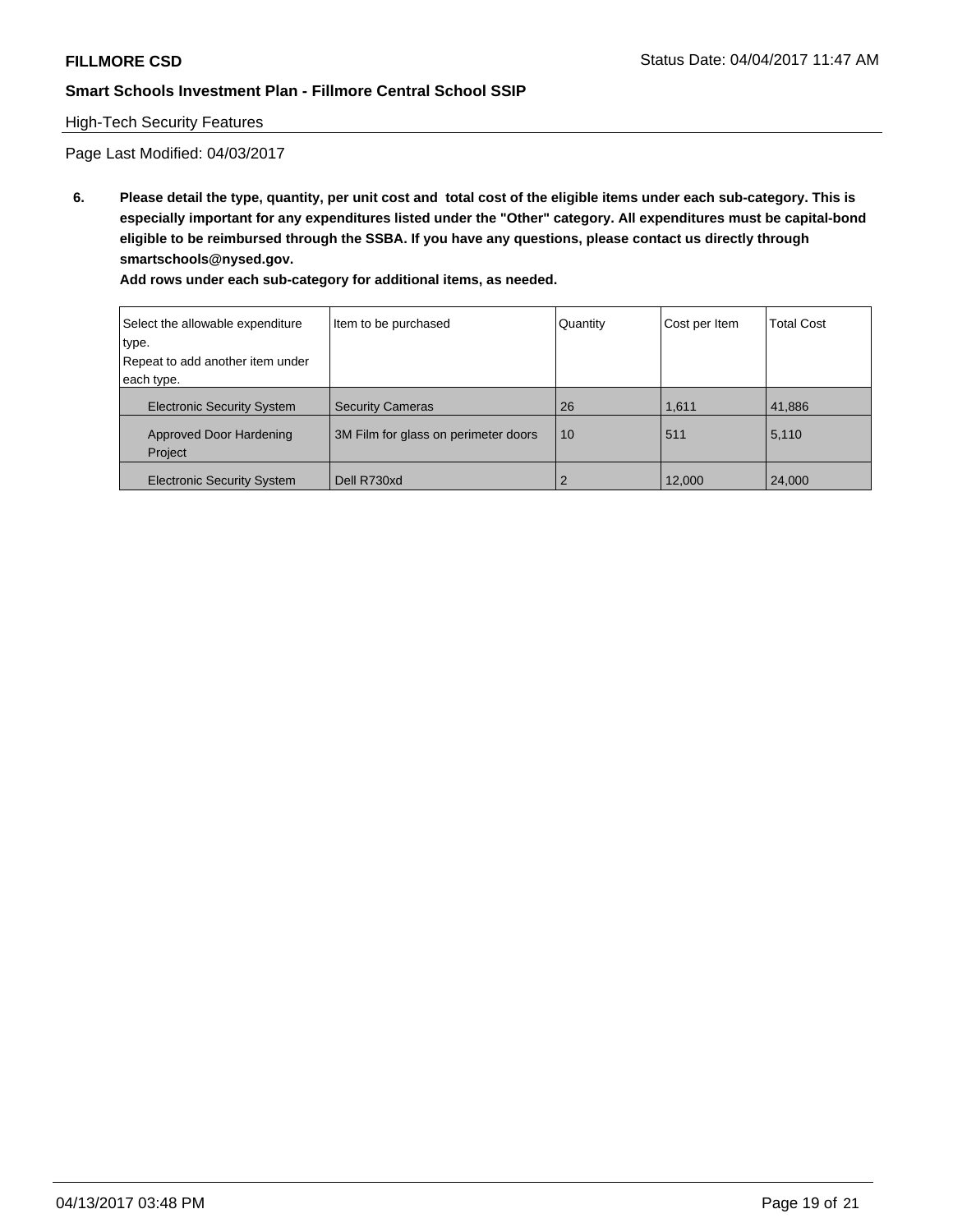## High-Tech Security Features

Page Last Modified: 04/03/2017

**6. Please detail the type, quantity, per unit cost and total cost of the eligible items under each sub-category. This is especially important for any expenditures listed under the "Other" category. All expenditures must be capital-bond eligible to be reimbursed through the SSBA. If you have any questions, please contact us directly through smartschools@nysed.gov.**

| Select the allowable expenditure          | Item to be purchased                 | Quantity       | Cost per Item | <b>Total Cost</b> |
|-------------------------------------------|--------------------------------------|----------------|---------------|-------------------|
| type.                                     |                                      |                |               |                   |
| Repeat to add another item under          |                                      |                |               |                   |
| each type.                                |                                      |                |               |                   |
| <b>Electronic Security System</b>         | <b>Security Cameras</b>              | 26             | 1,611         | 41,886            |
| <b>Approved Door Hardening</b><br>Project | 3M Film for glass on perimeter doors | 10             | 511           | 5,110             |
| <b>Electronic Security System</b>         | Dell R730xd                          | $\overline{2}$ | 12,000        | 24,000            |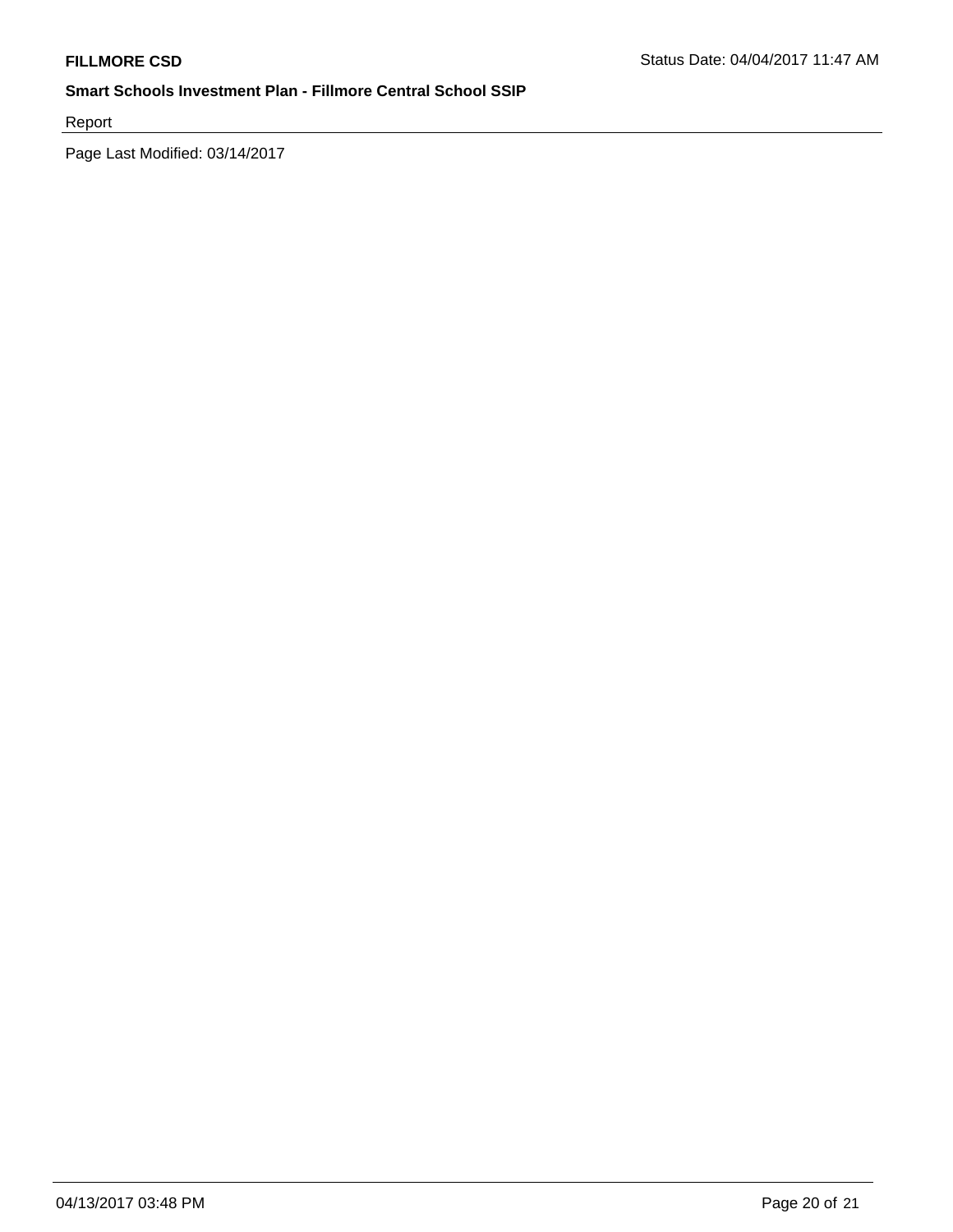Report

Page Last Modified: 03/14/2017